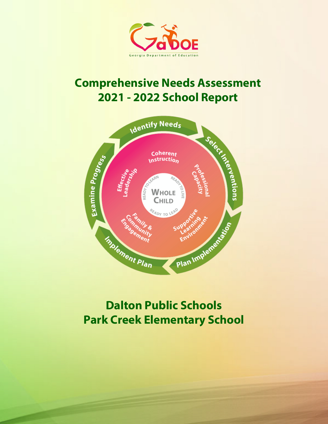

# **Comprehensive Needs Assessment 2021 - 2022 School Report**



# **Dalton Public Schools Park Creek Elementary School**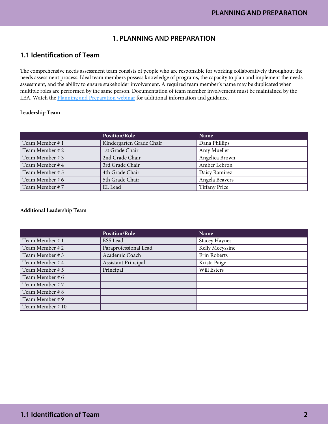## **1. PLANNING AND PREPARATION**

## **1.1 Identification of Team**

The comprehensive needs assessment team consists of people who are responsible for working collaboratively throughout the needs assessment process. Ideal team members possess knowledge of programs, the capacity to plan and implement the needs assessment, and the ability to ensure stakeholder involvement. A required team member's name may be duplicated when multiple roles are performed by the same person. Documentation of team member involvement must be maintained by the LEA. Watch the [Planning and Preparation webinar](https://www.gadoe.org/School-Improvement/School-Improvement-Services/Pages/Georgia%E2%80%99s-Systems-of-Continuous-Improvement.aspx) for additional information and guidance.

#### Leadership Team

|                 | <b>Position/Role</b>     | Name                 |
|-----------------|--------------------------|----------------------|
| Team Member # 1 | Kindergarten Grade Chair | Dana Phillips        |
| Team Member # 2 | 1st Grade Chair          | Amy Mueller          |
| Team Member # 3 | 2nd Grade Chair          | Angelica Brown       |
| Team Member # 4 | 3rd Grade Chair          | Amber Lebron         |
| Team Member # 5 | 4th Grade Chair          | Daisy Ramirez        |
| Team Member # 6 | 5th Grade Chair          | Angela Beavers       |
| Team Member #7  | EL Lead                  | <b>Tiffany Price</b> |

#### Additional Leadership Team

|                 | <b>Position/Role</b>       | Name                 |
|-----------------|----------------------------|----------------------|
| Team Member # 1 | ESS Lead                   | <b>Stacey Haynes</b> |
| Team Member #2  | Paraprofessional Lead      | Kelly Mecyssine      |
| Team Member #3  | Academic Coach             | Erin Roberts         |
| Team Member # 4 | <b>Assistant Principal</b> | Krista Paige         |
| Team Member # 5 | Principal                  | Will Esters          |
| Team Member # 6 |                            |                      |
| Team Member # 7 |                            |                      |
| Team Member # 8 |                            |                      |
| Team Member # 9 |                            |                      |
| Team Member #10 |                            |                      |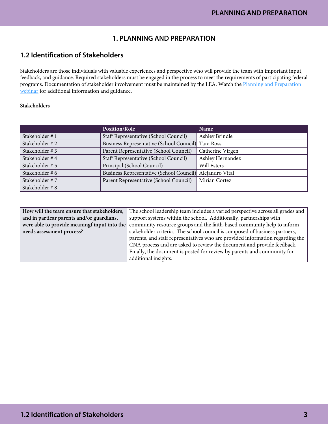# **1. PLANNING AND PREPARATION**

# **1.2 Identification of Stakeholders**

Stakeholders are those individuals with valuable experiences and perspective who will provide the team with important input, feedback, and guidance. Required stakeholders must be engaged in the process to meet the requirements of participating federal programs. Documentation of stakeholder involvement must be maintained by the LEA. Watch the [Planning and Preparation](https://www.gadoe.org/School-Improvement/School-Improvement-Services/Pages/Georgia%E2%80%99s-Systems-of-Continuous-Improvement.aspx)  [webinar](https://www.gadoe.org/School-Improvement/School-Improvement-Services/Pages/Georgia%E2%80%99s-Systems-of-Continuous-Improvement.aspx) for additional information and guidance.

#### Stakeholders

|                 | <b>Position/Role</b>                                     | Name             |
|-----------------|----------------------------------------------------------|------------------|
| Stakeholder #1  | Staff Representative (School Council)                    | Ashley Brindle   |
| Stakeholder #2  | Business Representative (School Council) Tara Ross       |                  |
| Stakeholder #3  | Parent Representative (School Council)                   | Catherine Virgen |
| Stakeholder #4  | Staff Representative (School Council)                    | Ashley Hernandez |
| Stakeholder # 5 | Principal (School Council)                               | Will Esters      |
| Stakeholder # 6 | Business Representative (School Council) Alejandro Vital |                  |
| Stakeholder #7  | Parent Representative (School Council)                   | Mirian Cortez    |
| Stakeholder #8  |                                                          |                  |

| How will the team ensure that stakeholders,  | The school leadership team includes a varied perspective across all grades and |
|----------------------------------------------|--------------------------------------------------------------------------------|
| and in particar parents and/or guardians,    | support systems within the school. Additionally, partnerships with             |
| were able to provide meaningf input into the | community resource groups and the faith-based community help to inform         |
| needs assessment process?                    | stakeholder criteria. The school council is composed of business partners,     |
|                                              | parents, and staff representatives who are provided information regarding the  |
|                                              | CNA process and are asked to review the document and provide feedback.         |
|                                              | Finally, the document is posted for review by parents and community for        |
|                                              | additional insights.                                                           |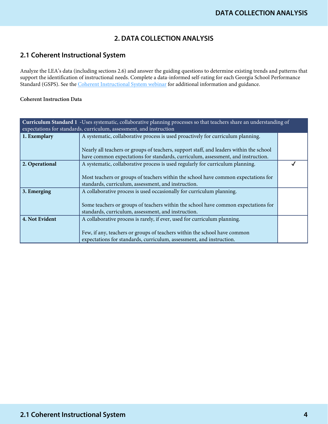# **2. DATA COLLECTION ANALYSIS**

# **2.1 Coherent Instructional System**

Analyze the LEA's data (including sections 2.6) and answer the guiding questions to determine existing trends and patterns that support the identification of instructional needs. Complete a data-informed self-rating for each Georgia School Performance Standard (GSPS). See the [Coherent Instructional System webinar](https://www.gadoe.org/School-Improvement/School-Improvement-Services/Pages/Georgia%E2%80%99s-Systems-of-Continuous-Improvement.aspx) for additional information and guidance.

| Curriculum Standard 1 -Uses systematic, collaborative planning processes so that teachers share an understanding of<br>expectations for standards, curriculum, assessment, and instruction |                                                                                                                                           |  |
|--------------------------------------------------------------------------------------------------------------------------------------------------------------------------------------------|-------------------------------------------------------------------------------------------------------------------------------------------|--|
| 1. Exemplary                                                                                                                                                                               | A systematic, collaborative process is used proactively for curriculum planning.                                                          |  |
|                                                                                                                                                                                            | Nearly all teachers or groups of teachers, support staff, and leaders within the school                                                   |  |
|                                                                                                                                                                                            | have common expectations for standards, curriculum, assessment, and instruction.                                                          |  |
| 2. Operational                                                                                                                                                                             | A systematic, collaborative process is used regularly for curriculum planning.                                                            |  |
|                                                                                                                                                                                            | Most teachers or groups of teachers within the school have common expectations for                                                        |  |
|                                                                                                                                                                                            | standards, curriculum, assessment, and instruction.                                                                                       |  |
| 3. Emerging                                                                                                                                                                                | A collaborative process is used occasionally for curriculum planning.                                                                     |  |
|                                                                                                                                                                                            |                                                                                                                                           |  |
|                                                                                                                                                                                            | Some teachers or groups of teachers within the school have common expectations for<br>standards, curriculum, assessment, and instruction. |  |
| 4. Not Evident                                                                                                                                                                             | A collaborative process is rarely, if ever, used for curriculum planning.                                                                 |  |
|                                                                                                                                                                                            |                                                                                                                                           |  |
|                                                                                                                                                                                            | Few, if any, teachers or groups of teachers within the school have common                                                                 |  |
|                                                                                                                                                                                            | expectations for standards, curriculum, assessment, and instruction.                                                                      |  |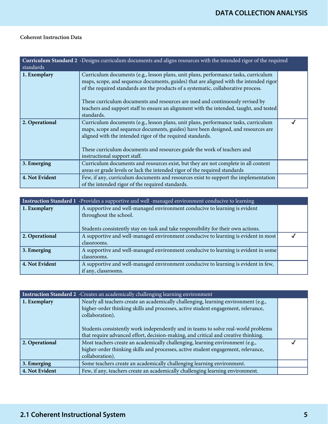| standards      | Curriculum Standard 2 -Designs curriculum documents and aligns resources with the intended rigor of the required                                                                                                                                                                                                                                                                                                                                             |  |
|----------------|--------------------------------------------------------------------------------------------------------------------------------------------------------------------------------------------------------------------------------------------------------------------------------------------------------------------------------------------------------------------------------------------------------------------------------------------------------------|--|
| 1. Exemplary   | Curriculum documents (e.g., lesson plans, unit plans, performance tasks, curriculum<br>maps, scope, and sequence documents, guides) that are aligned with the intended rigor<br>of the required standards are the products of a systematic, collaborative process.<br>These curriculum documents and resources are used and continuously revised by<br>teachers and support staff to ensure an alignment with the intended, taught, and tested<br>standards. |  |
| 2. Operational | Curriculum documents (e.g., lesson plans, unit plans, performance tasks, curriculum<br>maps, scope and sequence documents, guides) have been designed, and resources are<br>aligned with the intended rigor of the required standards.<br>These curriculum documents and resources guide the work of teachers and<br>instructional support staff.                                                                                                            |  |
| 3. Emerging    | Curriculum documents and resources exist, but they are not complete in all content<br>areas or grade levels or lack the intended rigor of the required standards                                                                                                                                                                                                                                                                                             |  |
| 4. Not Evident | Few, if any, curriculum documents and resources exist to support the implementation<br>of the intended rigor of the required standards.                                                                                                                                                                                                                                                                                                                      |  |

| Instruction Standard 1 -Provides a supportive and well -managed environment conducive to learning |                                                                                                      |  |
|---------------------------------------------------------------------------------------------------|------------------------------------------------------------------------------------------------------|--|
| 1. Exemplary                                                                                      | A supportive and well-managed environment conducive to learning is evident<br>throughout the school. |  |
|                                                                                                   | Students consistently stay on-task and take responsibility for their own actions.                    |  |
| 2. Operational                                                                                    | A supportive and well-managed environment conducive to learning is evident in most                   |  |
|                                                                                                   | classrooms.                                                                                          |  |
| 3. Emerging                                                                                       | A supportive and well-managed environment conducive to learning is evident in some                   |  |
|                                                                                                   | classrooms.                                                                                          |  |
| 4. Not Evident                                                                                    | A supportive and well-managed environment conducive to learning is evident in few,                   |  |
|                                                                                                   | if any, classrooms.                                                                                  |  |

|                | <b>Instruction Standard 2</b> - Creates an academically challenging learning environment                                                                                                                                                                                                                                                                                |  |
|----------------|-------------------------------------------------------------------------------------------------------------------------------------------------------------------------------------------------------------------------------------------------------------------------------------------------------------------------------------------------------------------------|--|
| 1. Exemplary   | Nearly all teachers create an academically challenging, learning environment (e.g.,<br>higher-order thinking skills and processes, active student engagement, relevance,<br>collaboration).<br>Students consistently work independently and in teams to solve real-world problems<br>that require advanced effort, decision-making, and critical and creative thinking. |  |
| 2. Operational | Most teachers create an academically challenging, learning environment (e.g.,<br>higher-order thinking skills and processes, active student engagement, relevance,<br>collaboration).                                                                                                                                                                                   |  |
| 3. Emerging    | Some teachers create an academically challenging learning environment.                                                                                                                                                                                                                                                                                                  |  |
| 4. Not Evident | Few, if any, teachers create an academically challenging learning environment.                                                                                                                                                                                                                                                                                          |  |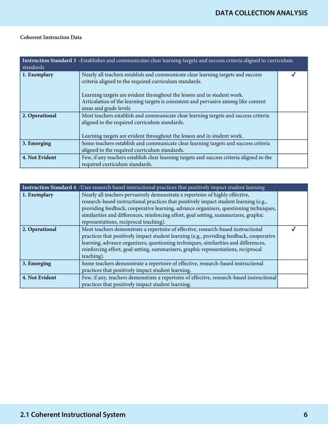| Instruction Standard 3 -Establishes and communicates clear learning targets and success criteria aligned to curriculum<br>standards |                                                                                                                                                                                                                 |  |
|-------------------------------------------------------------------------------------------------------------------------------------|-----------------------------------------------------------------------------------------------------------------------------------------------------------------------------------------------------------------|--|
| 1. Exemplary                                                                                                                        | Nearly all teachers establish and communicate clear learning targets and success<br>criteria aligned to the required curriculum standards.                                                                      |  |
|                                                                                                                                     | Learning targets are evident throughout the lesson and in student work.<br>Articulation of the learning targets is consistent and pervasive among like content<br>areas and grade levels                        |  |
| 2. Operational                                                                                                                      | Most teachers establish and communicate clear learning targets and success criteria<br>aligned to the required curriculum standards.<br>Learning targets are evident throughout the lesson and in student work. |  |
| 3. Emerging                                                                                                                         | Some teachers establish and communicate clear learning targets and success criteria<br>aligned to the required curriculum standards.                                                                            |  |
| 4. Not Evident                                                                                                                      | Few, if any teachers establish clear learning targets and success criteria aligned to the<br>required curriculum standards.                                                                                     |  |

|                | Instruction Standard 4 -Uses research based instructional practices that positively impact student learning                                                                                                                                                                                                                                                                                       |  |
|----------------|---------------------------------------------------------------------------------------------------------------------------------------------------------------------------------------------------------------------------------------------------------------------------------------------------------------------------------------------------------------------------------------------------|--|
| 1. Exemplary   | Nearly all teachers pervasively demonstrate a repertoire of highly effective,<br>research-based instructional practices that positively impact student learning (e.g.,<br>providing feedback, cooperative learning, advance organizers, questioning techniques,<br>similarities and differences, reinforcing effort, goal setting, summarizers, graphic<br>representations, reciprocal teaching). |  |
| 2. Operational | Most teachers demonstrate a repertoire of effective, research-based instructional<br>practices that positively impact student learning (e.g., providing feedback, cooperative<br>learning, advance organizers, questioning techniques, similarities and differences,<br>reinforcing effort, goal setting, summarizers, graphic representations, reciprocal<br>teaching).                          |  |
| 3. Emerging    | Some teachers demonstrate a repertoire of effective, research-based instructional<br>practices that positively impact student learning.                                                                                                                                                                                                                                                           |  |
| 4. Not Evident | Few, if any, teachers demonstrate a repertoire of effective, research-based instructional<br>practices that positively impact student learning.                                                                                                                                                                                                                                                   |  |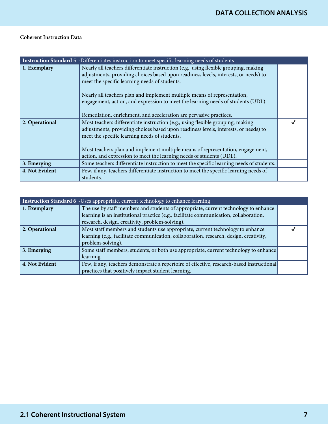|                | Instruction Standard 5 -Differentiates instruction to meet specific learning needs of students                                                                                                                                                                                                                                                                                               |  |
|----------------|----------------------------------------------------------------------------------------------------------------------------------------------------------------------------------------------------------------------------------------------------------------------------------------------------------------------------------------------------------------------------------------------|--|
| 1. Exemplary   | Nearly all teachers differentiate instruction (e.g., using flexible grouping, making<br>adjustments, providing choices based upon readiness levels, interests, or needs) to<br>meet the specific learning needs of students.<br>Nearly all teachers plan and implement multiple means of representation,<br>engagement, action, and expression to meet the learning needs of students (UDL). |  |
|                | Remediation, enrichment, and acceleration are pervasive practices.                                                                                                                                                                                                                                                                                                                           |  |
| 2. Operational | Most teachers differentiate instruction (e.g., using flexible grouping, making<br>adjustments, providing choices based upon readiness levels, interests, or needs) to<br>meet the specific learning needs of students.                                                                                                                                                                       |  |
|                | Most teachers plan and implement multiple means of representation, engagement,<br>action, and expression to meet the learning needs of students (UDL).                                                                                                                                                                                                                                       |  |
| 3. Emerging    | Some teachers differentiate instruction to meet the specific learning needs of students.                                                                                                                                                                                                                                                                                                     |  |
| 4. Not Evident | Few, if any, teachers differentiate instruction to meet the specific learning needs of<br>students.                                                                                                                                                                                                                                                                                          |  |

| Instruction Standard 6 -Uses appropriate, current technology to enhance learning |                                                                                                                                                                                                                                 |  |
|----------------------------------------------------------------------------------|---------------------------------------------------------------------------------------------------------------------------------------------------------------------------------------------------------------------------------|--|
| 1. Exemplary                                                                     | The use by staff members and students of appropriate, current technology to enhance<br>learning is an institutional practice (e.g., facilitate communication, collaboration,<br>research, design, creativity, problem-solving). |  |
| 2. Operational                                                                   | Most staff members and students use appropriate, current technology to enhance<br>learning (e.g., facilitate communication, collaboration, research, design, creativity,<br>problem-solving).                                   |  |
| 3. Emerging                                                                      | Some staff members, students, or both use appropriate, current technology to enhance<br>learning.                                                                                                                               |  |
| 4. Not Evident                                                                   | Few, if any, teachers demonstrate a repertoire of effective, research-based instructional<br>practices that positively impact student learning.                                                                                 |  |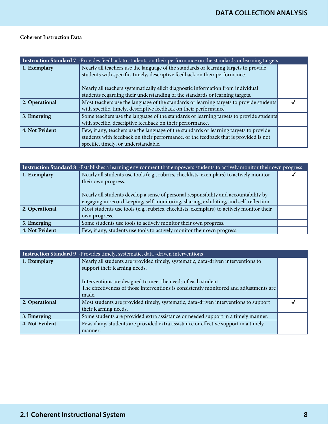| Instruction Standard 7 -Provides feedback to students on their performance on the standards or learning targets |                                                                                         |  |
|-----------------------------------------------------------------------------------------------------------------|-----------------------------------------------------------------------------------------|--|
| 1. Exemplary                                                                                                    | Nearly all teachers use the language of the standards or learning targets to provide    |  |
|                                                                                                                 | students with specific, timely, descriptive feedback on their performance.              |  |
|                                                                                                                 | Nearly all teachers systematically elicit diagnostic information from individual        |  |
|                                                                                                                 | students regarding their understanding of the standards or learning targets.            |  |
| 2. Operational                                                                                                  | Most teachers use the language of the standards or learning targets to provide students |  |
|                                                                                                                 | with specific, timely, descriptive feedback on their performance.                       |  |
| 3. Emerging                                                                                                     | Some teachers use the language of the standards or learning targets to provide students |  |
|                                                                                                                 | with specific, descriptive feedback on their performance.                               |  |
| 4. Not Evident                                                                                                  | Few, if any, teachers use the language of the standards or learning targets to provide  |  |
|                                                                                                                 | students with feedback on their performance, or the feedback that is provided is not    |  |
|                                                                                                                 | specific, timely, or understandable.                                                    |  |

| Instruction Standard 8 -Establishes a learning environment that empowers students to actively monitor their own progress |                                                                                                                                                                                                                                                                                                   |  |
|--------------------------------------------------------------------------------------------------------------------------|---------------------------------------------------------------------------------------------------------------------------------------------------------------------------------------------------------------------------------------------------------------------------------------------------|--|
| 1. Exemplary                                                                                                             | Nearly all students use tools (e.g., rubrics, checklists, exemplars) to actively monitor<br>their own progress.<br>Nearly all students develop a sense of personal responsibility and accountability by<br>engaging in record keeping, self-monitoring, sharing, exhibiting, and self-reflection. |  |
| 2. Operational                                                                                                           | Most students use tools (e.g., rubrics, checklists, exemplars) to actively monitor their<br>own progress.                                                                                                                                                                                         |  |
| 3. Emerging                                                                                                              | Some students use tools to actively monitor their own progress.                                                                                                                                                                                                                                   |  |
| 4. Not Evident                                                                                                           | Few, if any, students use tools to actively monitor their own progress.                                                                                                                                                                                                                           |  |

| Instruction Standard 9 -Provides timely, systematic, data -driven interventions |                                                                                                                                                                                                                                                                                        |  |
|---------------------------------------------------------------------------------|----------------------------------------------------------------------------------------------------------------------------------------------------------------------------------------------------------------------------------------------------------------------------------------|--|
| 1. Exemplary                                                                    | Nearly all students are provided timely, systematic, data-driven interventions to<br>support their learning needs.<br>Interventions are designed to meet the needs of each student.<br>The effectiveness of those interventions is consistently monitored and adjustments are<br>made. |  |
| 2. Operational                                                                  | Most students are provided timely, systematic, data-driven interventions to support<br>their learning needs.                                                                                                                                                                           |  |
| 3. Emerging                                                                     | Some students are provided extra assistance or needed support in a timely manner.                                                                                                                                                                                                      |  |
| 4. Not Evident                                                                  | Few, if any, students are provided extra assistance or effective support in a timely<br>manner.                                                                                                                                                                                        |  |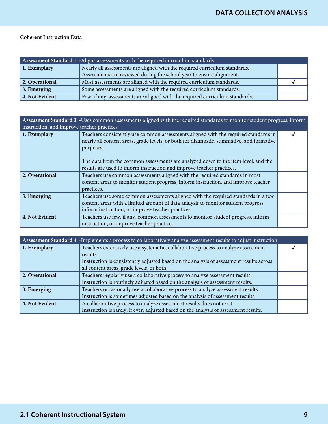| Assessment Standard 1 -Aligns assessments with the required curriculum standards |                                                                              |  |
|----------------------------------------------------------------------------------|------------------------------------------------------------------------------|--|
| $\vert$ 1. Exemplary                                                             | Nearly all assessments are aligned with the required curriculum standards.   |  |
|                                                                                  | Assessments are reviewed during the school year to ensure alignment.         |  |
| 2. Operational                                                                   | Most assessments are aligned with the required curriculum standards.         |  |
| 3. Emerging                                                                      | Some assessments are aligned with the required curriculum standards.         |  |
| 4. Not Evident                                                                   | Few, if any, assessments are aligned with the required curriculum standards. |  |

| Assessment Standard 3 -Uses common assessments aligned with the required standards to monitor student progress, inform<br>instruction, and improve teacher practices |                                                                                                                                                                                                                             |  |
|----------------------------------------------------------------------------------------------------------------------------------------------------------------------|-----------------------------------------------------------------------------------------------------------------------------------------------------------------------------------------------------------------------------|--|
| 1. Exemplary                                                                                                                                                         | Teachers consistently use common assessments aligned with the required standards in<br>nearly all content areas, grade levels, or both for diagnostic, summative, and formative<br>purposes.                                |  |
|                                                                                                                                                                      | The data from the common assessments are analyzed down to the item level, and the<br>results are used to inform instruction and improve teacher practices.                                                                  |  |
| 2. Operational                                                                                                                                                       | Teachers use common assessments aligned with the required standards in most<br>content areas to monitor student progress, inform instruction, and improve teacher<br>practices.                                             |  |
| 3. Emerging                                                                                                                                                          | Teachers use some common assessments aligned with the required standards in a few<br>content areas with a limited amount of data analysis to monitor student progress,<br>inform instruction, or improve teacher practices. |  |
| 4. Not Evident                                                                                                                                                       | Teachers use few, if any, common assessments to monitor student progress, inform<br>instruction, or improve teacher practices.                                                                                              |  |

| Assessment Standard 4 - Implements a process to collaboratively analyze assessment results to adjust instruction |                                                                                                                                                                                                                                        |  |
|------------------------------------------------------------------------------------------------------------------|----------------------------------------------------------------------------------------------------------------------------------------------------------------------------------------------------------------------------------------|--|
| 1. Exemplary                                                                                                     | Teachers extensively use a systematic, collaborative process to analyze assessment<br>results.<br>Instruction is consistently adjusted based on the analysis of assessment results across<br>all content areas, grade levels, or both. |  |
| 2. Operational                                                                                                   | Teachers regularly use a collaborative process to analyze assessment results.<br>Instruction is routinely adjusted based on the analysis of assessment results.                                                                        |  |
| 3. Emerging                                                                                                      | Teachers occasionally use a collaborative process to analyze assessment results.<br>Instruction is sometimes adjusted based on the analysis of assessment results.                                                                     |  |
| 4. Not Evident                                                                                                   | A collaborative process to analyze assessment results does not exist.<br>Instruction is rarely, if ever, adjusted based on the analysis of assessment results.                                                                         |  |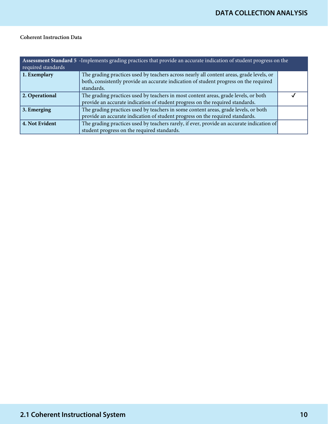| Assessment Standard 5 -Implements grading practices that provide an accurate indication of student progress on the<br>required standards |                                                                                                                                                                                                 |  |
|------------------------------------------------------------------------------------------------------------------------------------------|-------------------------------------------------------------------------------------------------------------------------------------------------------------------------------------------------|--|
| 1. Exemplary                                                                                                                             | The grading practices used by teachers across nearly all content areas, grade levels, or<br>both, consistently provide an accurate indication of student progress on the required<br>standards. |  |
| 2. Operational                                                                                                                           | The grading practices used by teachers in most content areas, grade levels, or both<br>provide an accurate indication of student progress on the required standards.                            |  |
| 3. Emerging                                                                                                                              | The grading practices used by teachers in some content areas, grade levels, or both<br>provide an accurate indication of student progress on the required standards.                            |  |
| 4. Not Evident                                                                                                                           | The grading practices used by teachers rarely, if ever, provide an accurate indication of<br>student progress on the required standards.                                                        |  |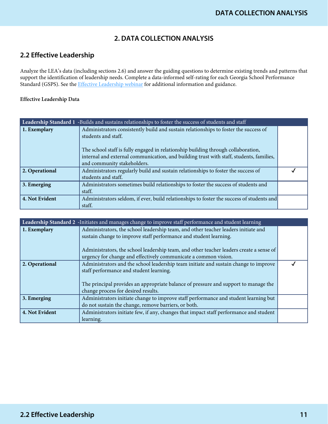# **2. DATA COLLECTION ANALYSIS**

# **2.2 Effective Leadership**

Analyze the LEA's data (including sections 2.6) and answer the guiding questions to determine existing trends and patterns that support the identification of leadership needs. Complete a data-informed self-rating for each Georgia School Performance Standard (GSPS). See the **Effective Leadership webinar** for additional information and guidance.

| Leadership Standard 1 -Builds and sustains relationships to foster the success of students and staff |                                                                                           |  |
|------------------------------------------------------------------------------------------------------|-------------------------------------------------------------------------------------------|--|
| 1. Exemplary                                                                                         | Administrators consistently build and sustain relationships to foster the success of      |  |
|                                                                                                      | students and staff.                                                                       |  |
|                                                                                                      |                                                                                           |  |
|                                                                                                      | The school staff is fully engaged in relationship building through collaboration,         |  |
|                                                                                                      | internal and external communication, and building trust with staff, students, families,   |  |
|                                                                                                      | and community stakeholders.                                                               |  |
| 2. Operational                                                                                       | Administrators regularly build and sustain relationships to foster the success of         |  |
|                                                                                                      | students and staff.                                                                       |  |
| 3. Emerging                                                                                          | Administrators sometimes build relationships to foster the success of students and        |  |
|                                                                                                      | staff.                                                                                    |  |
| 4. Not Evident                                                                                       | Administrators seldom, if ever, build relationships to foster the success of students and |  |
|                                                                                                      | staff.                                                                                    |  |

| Leadership Standard 2 -Initiates and manages change to improve staff performance and student learning |                                                                                                                                                                                                                                                    |  |
|-------------------------------------------------------------------------------------------------------|----------------------------------------------------------------------------------------------------------------------------------------------------------------------------------------------------------------------------------------------------|--|
| 1. Exemplary                                                                                          | Administrators, the school leadership team, and other teacher leaders initiate and<br>sustain change to improve staff performance and student learning.<br>Administrators, the school leadership team, and other teacher leaders create a sense of |  |
|                                                                                                       | urgency for change and effectively communicate a common vision.                                                                                                                                                                                    |  |
| 2. Operational                                                                                        | Administrators and the school leadership team initiate and sustain change to improve<br>staff performance and student learning.<br>The principal provides an appropriate balance of pressure and support to manage the                             |  |
| 3. Emerging                                                                                           | change process for desired results.<br>Administrators initiate change to improve staff performance and student learning but                                                                                                                        |  |
|                                                                                                       | do not sustain the change, remove barriers, or both.                                                                                                                                                                                               |  |
| 4. Not Evident                                                                                        | Administrators initiate few, if any, changes that impact staff performance and student<br>learning.                                                                                                                                                |  |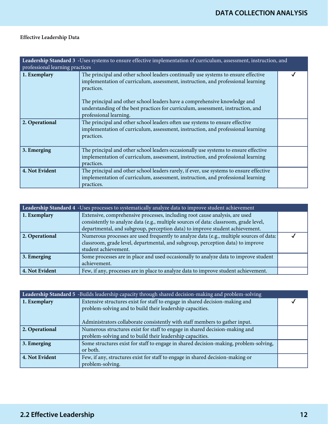| Leadership Standard 3 - Uses systems to ensure effective implementation of curriculum, assessment, instruction, and<br>professional learning practices |                                                                                                                                                                                                                                                                                                                                                                                 |  |
|--------------------------------------------------------------------------------------------------------------------------------------------------------|---------------------------------------------------------------------------------------------------------------------------------------------------------------------------------------------------------------------------------------------------------------------------------------------------------------------------------------------------------------------------------|--|
| 1. Exemplary                                                                                                                                           | The principal and other school leaders continually use systems to ensure effective<br>implementation of curriculum, assessment, instruction, and professional learning<br>practices.<br>The principal and other school leaders have a comprehensive knowledge and<br>understanding of the best practices for curriculum, assessment, instruction, and<br>professional learning. |  |
| 2. Operational                                                                                                                                         | The principal and other school leaders often use systems to ensure effective<br>implementation of curriculum, assessment, instruction, and professional learning<br>practices.                                                                                                                                                                                                  |  |
| 3. Emerging                                                                                                                                            | The principal and other school leaders occasionally use systems to ensure effective<br>implementation of curriculum, assessment, instruction, and professional learning<br>practices.                                                                                                                                                                                           |  |
| 4. Not Evident                                                                                                                                         | The principal and other school leaders rarely, if ever, use systems to ensure effective<br>implementation of curriculum, assessment, instruction, and professional learning<br>practices.                                                                                                                                                                                       |  |

| Leadership Standard 4 - Uses processes to systematically analyze data to improve student achievement |                                                                                                                                                                      |  |
|------------------------------------------------------------------------------------------------------|----------------------------------------------------------------------------------------------------------------------------------------------------------------------|--|
| 1. Exemplary                                                                                         | Extensive, comprehensive processes, including root cause analysis, are used<br>consistently to analyze data (e.g., multiple sources of data: classroom, grade level, |  |
|                                                                                                      | departmental, and subgroup, perception data) to improve student achievement.                                                                                         |  |
| 2. Operational                                                                                       | Numerous processes are used frequently to analyze data (e.g., multiple sources of data:                                                                              |  |
|                                                                                                      | classroom, grade level, departmental, and subgroup, perception data) to improve                                                                                      |  |
|                                                                                                      | student achievement.                                                                                                                                                 |  |
| 3. Emerging                                                                                          | Some processes are in place and used occasionally to analyze data to improve student                                                                                 |  |
|                                                                                                      | achievement.                                                                                                                                                         |  |
| 4. Not Evident                                                                                       | Few, if any, processes are in place to analyze data to improve student achievement.                                                                                  |  |

| Leadership Standard 5 -Builds leadership capacity through shared decision-making and problem-solving |                                                                                                                                           |  |
|------------------------------------------------------------------------------------------------------|-------------------------------------------------------------------------------------------------------------------------------------------|--|
| 1. Exemplary                                                                                         | Extensive structures exist for staff to engage in shared decision-making and<br>problem-solving and to build their leadership capacities. |  |
|                                                                                                      | Administrators collaborate consistently with staff members to gather input.                                                               |  |
| 2. Operational                                                                                       | Numerous structures exist for staff to engage in shared decision-making and                                                               |  |
|                                                                                                      | problem-solving and to build their leadership capacities.                                                                                 |  |
| 3. Emerging                                                                                          | Some structures exist for staff to engage in shared decision-making, problem-solving,<br>or both.                                         |  |
| 4. Not Evident                                                                                       | Few, if any, structures exist for staff to engage in shared decision-making or                                                            |  |
|                                                                                                      | problem-solving.                                                                                                                          |  |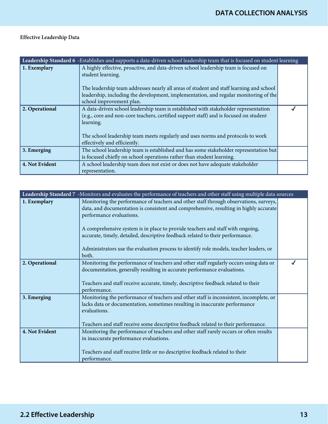| Leadership Standard 6 - Establishes and supports a data-driven school leadership team that is focused on student learning |                                                                                                                                                                                                                                                                                                                         |  |
|---------------------------------------------------------------------------------------------------------------------------|-------------------------------------------------------------------------------------------------------------------------------------------------------------------------------------------------------------------------------------------------------------------------------------------------------------------------|--|
| 1. Exemplary                                                                                                              | A highly effective, proactive, and data-driven school leadership team is focused on<br>student learning.<br>The leadership team addresses nearly all areas of student and staff learning and school<br>leadership, including the development, implementation, and regular monitoring of the<br>school improvement plan. |  |
| 2. Operational                                                                                                            | A data-driven school leadership team is established with stakeholder representation<br>(e.g., core and non-core teachers, certified support staff) and is focused on student<br>learning.<br>The school leadership team meets regularly and uses norms and protocols to work<br>effectively and efficiently.            |  |
| 3. Emerging                                                                                                               | The school leadership team is established and has some stakeholder representation but<br>is focused chiefly on school operations rather than student learning.                                                                                                                                                          |  |
| 4. Not Evident                                                                                                            | A school leadership team does not exist or does not have adequate stakeholder<br>representation.                                                                                                                                                                                                                        |  |

| Leadership Standard 7 -Monitors and evaluates the performance of teachers and other staff using multiple data sources |                                                                                                                                                                                                                                                                            |  |
|-----------------------------------------------------------------------------------------------------------------------|----------------------------------------------------------------------------------------------------------------------------------------------------------------------------------------------------------------------------------------------------------------------------|--|
| 1. Exemplary                                                                                                          | Monitoring the performance of teachers and other staff through observations, surveys,<br>data, and documentation is consistent and comprehensive, resulting in highly accurate<br>performance evaluations.                                                                 |  |
|                                                                                                                       | A comprehensive system is in place to provide teachers and staff with ongoing,<br>accurate, timely, detailed, descriptive feedback related to their performance.<br>Administrators use the evaluation process to identify role models, teacher leaders, or                 |  |
|                                                                                                                       | both.                                                                                                                                                                                                                                                                      |  |
| 2. Operational                                                                                                        | Monitoring the performance of teachers and other staff regularly occurs using data or<br>documentation, generally resulting in accurate performance evaluations.<br>Teachers and staff receive accurate, timely, descriptive feedback related to their<br>performance.     |  |
| 3. Emerging                                                                                                           | Monitoring the performance of teachers and other staff is inconsistent, incomplete, or<br>lacks data or documentation, sometimes resulting in inaccurate performance<br>evaluations.<br>Teachers and staff receive some descriptive feedback related to their performance. |  |
| 4. Not Evident                                                                                                        | Monitoring the performance of teachers and other staff rarely occurs or often results<br>in inaccurate performance evaluations.<br>Teachers and staff receive little or no descriptive feedback related to their<br>performance.                                           |  |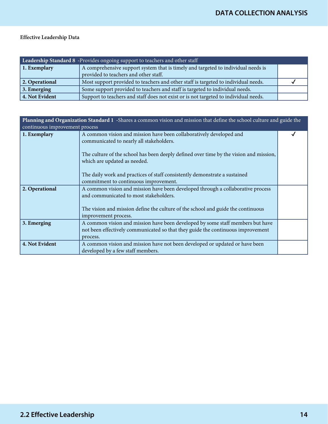| Leadership Standard 8 -Provides ongoing support to teachers and other staff |                                                                                      |  |
|-----------------------------------------------------------------------------|--------------------------------------------------------------------------------------|--|
| 1. Exemplary                                                                | A comprehensive support system that is timely and targeted to individual needs is    |  |
|                                                                             | provided to teachers and other staff.                                                |  |
| 2. Operational                                                              | Most support provided to teachers and other staff is targeted to individual needs.   |  |
| $\vert$ 3. Emerging                                                         | Some support provided to teachers and staff is targeted to individual needs.         |  |
| 4. Not Evident                                                              | Support to teachers and staff does not exist or is not targeted to individual needs. |  |

| Planning and Organization Standard 1 -Shares a common vision and mission that define the school culture and guide the<br>continuous improvement process |                                                                                                                                                                                                                                           |  |
|---------------------------------------------------------------------------------------------------------------------------------------------------------|-------------------------------------------------------------------------------------------------------------------------------------------------------------------------------------------------------------------------------------------|--|
| 1. Exemplary                                                                                                                                            | A common vision and mission have been collaboratively developed and<br>communicated to nearly all stakeholders.<br>The culture of the school has been deeply defined over time by the vision and mission,<br>which are updated as needed. |  |
|                                                                                                                                                         | The daily work and practices of staff consistently demonstrate a sustained<br>commitment to continuous improvement.                                                                                                                       |  |
| 2. Operational                                                                                                                                          | A common vision and mission have been developed through a collaborative process<br>and communicated to most stakeholders.<br>The vision and mission define the culture of the school and guide the continuous<br>improvement process.     |  |
| 3. Emerging                                                                                                                                             | A common vision and mission have been developed by some staff members but have<br>not been effectively communicated so that they guide the continuous improvement<br>process.                                                             |  |
| 4. Not Evident                                                                                                                                          | A common vision and mission have not been developed or updated or have been<br>developed by a few staff members.                                                                                                                          |  |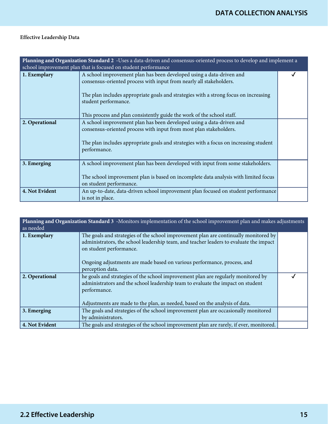| Planning and Organization Standard 2 -Uses a data-driven and consensus-oriented process to develop and implement a<br>school improvement plan that is focused on student performance |                                                                                                                                                                                                                                                                                                                                       |  |
|--------------------------------------------------------------------------------------------------------------------------------------------------------------------------------------|---------------------------------------------------------------------------------------------------------------------------------------------------------------------------------------------------------------------------------------------------------------------------------------------------------------------------------------|--|
| 1. Exemplary                                                                                                                                                                         | A school improvement plan has been developed using a data-driven and<br>consensus-oriented process with input from nearly all stakeholders.<br>The plan includes appropriate goals and strategies with a strong focus on increasing<br>student performance.<br>This process and plan consistently guide the work of the school staff. |  |
| 2. Operational                                                                                                                                                                       | A school improvement plan has been developed using a data-driven and<br>consensus-oriented process with input from most plan stakeholders.<br>The plan includes appropriate goals and strategies with a focus on increasing student<br>performance.                                                                                   |  |
| 3. Emerging                                                                                                                                                                          | A school improvement plan has been developed with input from some stakeholders.<br>The school improvement plan is based on incomplete data analysis with limited focus<br>on student performance.                                                                                                                                     |  |
| 4. Not Evident                                                                                                                                                                       | An up-to-date, data-driven school improvement plan focused on student performance<br>is not in place.                                                                                                                                                                                                                                 |  |

| Planning and Organization Standard 3 -Monitors implementation of the school improvement plan and makes adjustments<br>as needed |                                                                                                                                                                                                                                                                                      |  |
|---------------------------------------------------------------------------------------------------------------------------------|--------------------------------------------------------------------------------------------------------------------------------------------------------------------------------------------------------------------------------------------------------------------------------------|--|
| 1. Exemplary                                                                                                                    | The goals and strategies of the school improvement plan are continually monitored by<br>administrators, the school leadership team, and teacher leaders to evaluate the impact<br>on student performance.<br>Ongoing adjustments are made based on various performance, process, and |  |
|                                                                                                                                 | perception data.                                                                                                                                                                                                                                                                     |  |
| 2. Operational                                                                                                                  | he goals and strategies of the school improvement plan are regularly monitored by<br>administrators and the school leadership team to evaluate the impact on student<br>performance.<br>Adjustments are made to the plan, as needed, based on the analysis of data.                  |  |
| 3. Emerging                                                                                                                     | The goals and strategies of the school improvement plan are occasionally monitored<br>by administrators.                                                                                                                                                                             |  |
| 4. Not Evident                                                                                                                  | The goals and strategies of the school improvement plan are rarely, if ever, monitored.                                                                                                                                                                                              |  |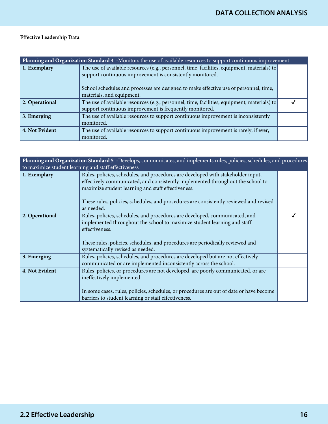| Planning and Organization Standard 4 -Monitors the use of available resources to support continuous improvement |                                                                                                                                                                                                                                                                                |  |
|-----------------------------------------------------------------------------------------------------------------|--------------------------------------------------------------------------------------------------------------------------------------------------------------------------------------------------------------------------------------------------------------------------------|--|
| 1. Exemplary                                                                                                    | The use of available resources (e.g., personnel, time, facilities, equipment, materials) to<br>support continuous improvement is consistently monitored.<br>School schedules and processes are designed to make effective use of personnel, time,<br>materials, and equipment. |  |
| 2. Operational                                                                                                  | The use of available resources (e.g., personnel, time, facilities, equipment, materials) to                                                                                                                                                                                    |  |
|                                                                                                                 | support continuous improvement is frequently monitored.                                                                                                                                                                                                                        |  |
| 3. Emerging                                                                                                     | The use of available resources to support continuous improvement is inconsistently<br>monitored.                                                                                                                                                                               |  |
| 4. Not Evident                                                                                                  | The use of available resources to support continuous improvement is rarely, if ever,<br>monitored.                                                                                                                                                                             |  |

| Planning and Organization Standard 5 -Develops, communicates, and implements rules, policies, schedules, and procedures |                                                                                                                                                                                                                                                                                                                                   |  |
|-------------------------------------------------------------------------------------------------------------------------|-----------------------------------------------------------------------------------------------------------------------------------------------------------------------------------------------------------------------------------------------------------------------------------------------------------------------------------|--|
|                                                                                                                         | to maximize student learning and staff effectiveness                                                                                                                                                                                                                                                                              |  |
| 1. Exemplary                                                                                                            | Rules, policies, schedules, and procedures are developed with stakeholder input,<br>effectively communicated, and consistently implemented throughout the school to<br>maximize student learning and staff effectiveness.<br>These rules, policies, schedules, and procedures are consistently reviewed and revised<br>as needed. |  |
| 2. Operational                                                                                                          | Rules, policies, schedules, and procedures are developed, communicated, and<br>implemented throughout the school to maximize student learning and staff<br>effectiveness.<br>These rules, policies, schedules, and procedures are periodically reviewed and<br>systematically revised as needed.                                  |  |
| 3. Emerging                                                                                                             | Rules, policies, schedules, and procedures are developed but are not effectively<br>communicated or are implemented inconsistently across the school.                                                                                                                                                                             |  |
| 4. Not Evident                                                                                                          | Rules, policies, or procedures are not developed, are poorly communicated, or are<br>ineffectively implemented.<br>In some cases, rules, policies, schedules, or procedures are out of date or have become<br>barriers to student learning or staff effectiveness.                                                                |  |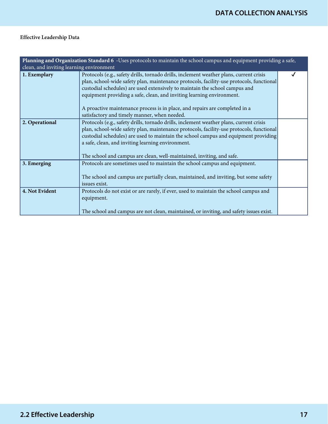| Planning and Organization Standard 6 -Uses protocols to maintain the school campus and equipment providing a safe,<br>clean, and inviting learning environment |                                                                                                                                                                                                                                                                                                                                                                                                                                                                            |  |
|----------------------------------------------------------------------------------------------------------------------------------------------------------------|----------------------------------------------------------------------------------------------------------------------------------------------------------------------------------------------------------------------------------------------------------------------------------------------------------------------------------------------------------------------------------------------------------------------------------------------------------------------------|--|
| 1. Exemplary                                                                                                                                                   | Protocols (e.g., safety drills, tornado drills, inclement weather plans, current crisis<br>plan, school-wide safety plan, maintenance protocols, facility-use protocols, functional<br>custodial schedules) are used extensively to maintain the school campus and<br>equipment providing a safe, clean, and inviting learning environment.<br>A proactive maintenance process is in place, and repairs are completed in a<br>satisfactory and timely manner, when needed. |  |
| 2. Operational                                                                                                                                                 | Protocols (e.g., safety drills, tornado drills, inclement weather plans, current crisis<br>plan, school-wide safety plan, maintenance protocols, facility-use protocols, functional<br>custodial schedules) are used to maintain the school campus and equipment providing<br>a safe, clean, and inviting learning environment.<br>The school and campus are clean, well-maintained, inviting, and safe.                                                                   |  |
| 3. Emerging                                                                                                                                                    | Protocols are sometimes used to maintain the school campus and equipment.<br>The school and campus are partially clean, maintained, and inviting, but some safety<br>issues exist.                                                                                                                                                                                                                                                                                         |  |
| 4. Not Evident                                                                                                                                                 | Protocols do not exist or are rarely, if ever, used to maintain the school campus and<br>equipment.<br>The school and campus are not clean, maintained, or inviting, and safety issues exist.                                                                                                                                                                                                                                                                              |  |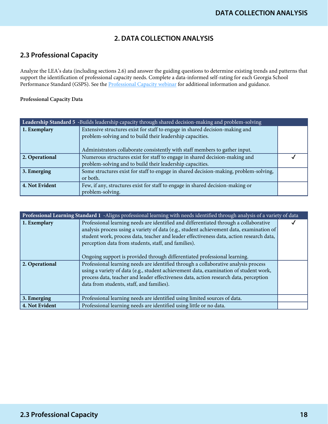# **2. DATA COLLECTION ANALYSIS**

# **2.3 Professional Capacity**

Analyze the LEA's data (including sections 2.6) and answer the guiding questions to determine existing trends and patterns that support the identification of professional capacity needs. Complete a data-informed self-rating for each Georgia School Performance Standard (GSPS). See the [Professional Capacity webinar](https://www.gadoe.org/School-Improvement/School-Improvement-Services/Pages/Georgia%E2%80%99s-Systems-of-Continuous-Improvement.aspx) for additional information and guidance.

| Leadership Standard 5 -Builds leadership capacity through shared decision-making and problem-solving |                                                                                       |  |
|------------------------------------------------------------------------------------------------------|---------------------------------------------------------------------------------------|--|
| 1. Exemplary                                                                                         | Extensive structures exist for staff to engage in shared decision-making and          |  |
|                                                                                                      | problem-solving and to build their leadership capacities.                             |  |
|                                                                                                      |                                                                                       |  |
|                                                                                                      | Administrators collaborate consistently with staff members to gather input.           |  |
| 2. Operational                                                                                       | Numerous structures exist for staff to engage in shared decision-making and           |  |
|                                                                                                      | problem-solving and to build their leadership capacities.                             |  |
| 3. Emerging                                                                                          | Some structures exist for staff to engage in shared decision-making, problem-solving, |  |
|                                                                                                      | or both.                                                                              |  |
| 4. Not Evident                                                                                       | Few, if any, structures exist for staff to engage in shared decision-making or        |  |
|                                                                                                      | problem-solving.                                                                      |  |

| Professional Learning Standard 1 -Aligns professional learning with needs identified through analysis of a variety of data |                                                                                                                                                                                                                                                                                                                                                                                                                    |  |
|----------------------------------------------------------------------------------------------------------------------------|--------------------------------------------------------------------------------------------------------------------------------------------------------------------------------------------------------------------------------------------------------------------------------------------------------------------------------------------------------------------------------------------------------------------|--|
| 1. Exemplary                                                                                                               | Professional learning needs are identified and differentiated through a collaborative<br>analysis process using a variety of data (e.g., student achievement data, examination of<br>student work, process data, teacher and leader effectiveness data, action research data,<br>perception data from students, staff, and families).<br>Ongoing support is provided through differentiated professional learning. |  |
| 2. Operational                                                                                                             | Professional learning needs are identified through a collaborative analysis process<br>using a variety of data (e.g., student achievement data, examination of student work,<br>process data, teacher and leader effectiveness data, action research data, perception<br>data from students, staff, and families).                                                                                                 |  |
| 3. Emerging                                                                                                                | Professional learning needs are identified using limited sources of data.                                                                                                                                                                                                                                                                                                                                          |  |
| 4. Not Evident                                                                                                             | Professional learning needs are identified using little or no data.                                                                                                                                                                                                                                                                                                                                                |  |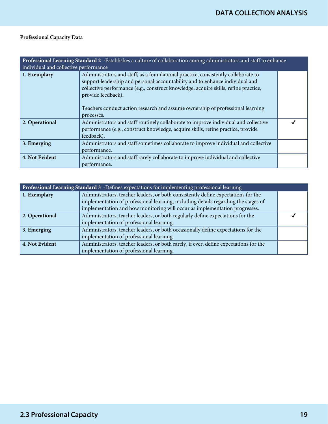| Professional Learning Standard 2 -Establishes a culture of collaboration among administrators and staff to enhance<br>individual and collective performance |                                                                                                                                                                                                                                                                                                                                                                                |  |
|-------------------------------------------------------------------------------------------------------------------------------------------------------------|--------------------------------------------------------------------------------------------------------------------------------------------------------------------------------------------------------------------------------------------------------------------------------------------------------------------------------------------------------------------------------|--|
| 1. Exemplary                                                                                                                                                | Administrators and staff, as a foundational practice, consistently collaborate to<br>support leadership and personal accountability and to enhance individual and<br>collective performance (e.g., construct knowledge, acquire skills, refine practice,<br>provide feedback).<br>Teachers conduct action research and assume ownership of professional learning<br>processes. |  |
| 2. Operational                                                                                                                                              | Administrators and staff routinely collaborate to improve individual and collective<br>performance (e.g., construct knowledge, acquire skills, refine practice, provide<br>feedback).                                                                                                                                                                                          |  |
| 3. Emerging                                                                                                                                                 | Administrators and staff sometimes collaborate to improve individual and collective<br>performance.                                                                                                                                                                                                                                                                            |  |
| 4. Not Evident                                                                                                                                              | Administrators and staff rarely collaborate to improve individual and collective<br>performance.                                                                                                                                                                                                                                                                               |  |

| Professional Learning Standard 3 - Defines expectations for implementing professional learning |                                                                                       |  |
|------------------------------------------------------------------------------------------------|---------------------------------------------------------------------------------------|--|
| 1. Exemplary                                                                                   | Administrators, teacher leaders, or both consistently define expectations for the     |  |
|                                                                                                | implementation of professional learning, including details regarding the stages of    |  |
|                                                                                                | implementation and how monitoring will occur as implementation progresses.            |  |
| 2. Operational                                                                                 | Administrators, teacher leaders, or both regularly define expectations for the        |  |
|                                                                                                | implementation of professional learning.                                              |  |
| 3. Emerging                                                                                    | Administrators, teacher leaders, or both occasionally define expectations for the     |  |
|                                                                                                | implementation of professional learning.                                              |  |
| 4. Not Evident                                                                                 | Administrators, teacher leaders, or both rarely, if ever, define expectations for the |  |
|                                                                                                | implementation of professional learning.                                              |  |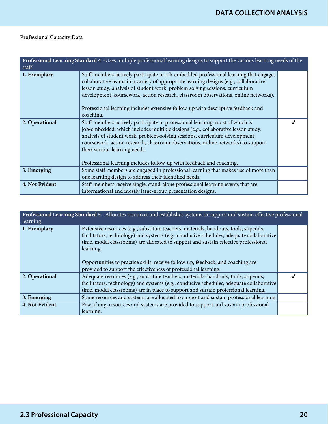| Professional Learning Standard 4 -Uses multiple professional learning designs to support the various learning needs of the<br>staff |                                                                                                                                                                                                                                                                                                                                                                                                                                                        |  |
|-------------------------------------------------------------------------------------------------------------------------------------|--------------------------------------------------------------------------------------------------------------------------------------------------------------------------------------------------------------------------------------------------------------------------------------------------------------------------------------------------------------------------------------------------------------------------------------------------------|--|
| 1. Exemplary                                                                                                                        | Staff members actively participate in job-embedded professional learning that engages<br>collaborative teams in a variety of appropriate learning designs (e.g., collaborative<br>lesson study, analysis of student work, problem solving sessions, curriculum<br>development, coursework, action research, classroom observations, online networks).<br>Professional learning includes extensive follow-up with descriptive feedback and<br>coaching. |  |
| 2. Operational                                                                                                                      | Staff members actively participate in professional learning, most of which is<br>job-embedded, which includes multiple designs (e.g., collaborative lesson study,<br>analysis of student work, problem-solving sessions, curriculum development,<br>coursework, action research, classroom observations, online networks) to support<br>their various learning needs.<br>Professional learning includes follow-up with feedback and coaching.          |  |
| 3. Emerging                                                                                                                         | Some staff members are engaged in professional learning that makes use of more than<br>one learning design to address their identified needs.                                                                                                                                                                                                                                                                                                          |  |
| 4. Not Evident                                                                                                                      | Staff members receive single, stand-alone professional learning events that are<br>informational and mostly large-group presentation designs.                                                                                                                                                                                                                                                                                                          |  |

| Professional Learning Standard 5 -Allocates resources and establishes systems to support and sustain effective professional<br>learning |                                                                                                                                                                                                                                                                                                                                                                                                                                             |  |
|-----------------------------------------------------------------------------------------------------------------------------------------|---------------------------------------------------------------------------------------------------------------------------------------------------------------------------------------------------------------------------------------------------------------------------------------------------------------------------------------------------------------------------------------------------------------------------------------------|--|
| 1. Exemplary                                                                                                                            | Extensive resources (e.g., substitute teachers, materials, handouts, tools, stipends,<br>facilitators, technology) and systems (e.g., conducive schedules, adequate collaborative<br>time, model classrooms) are allocated to support and sustain effective professional<br>learning.<br>Opportunities to practice skills, receive follow-up, feedback, and coaching are<br>provided to support the effectiveness of professional learning. |  |
| 2. Operational                                                                                                                          | Adequate resources (e.g., substitute teachers, materials, handouts, tools, stipends,<br>facilitators, technology) and systems (e.g., conducive schedules, adequate collaborative<br>time, model classrooms) are in place to support and sustain professional learning.                                                                                                                                                                      |  |
| 3. Emerging                                                                                                                             | Some resources and systems are allocated to support and sustain professional learning.                                                                                                                                                                                                                                                                                                                                                      |  |
| 4. Not Evident                                                                                                                          | Few, if any, resources and systems are provided to support and sustain professional<br>learning.                                                                                                                                                                                                                                                                                                                                            |  |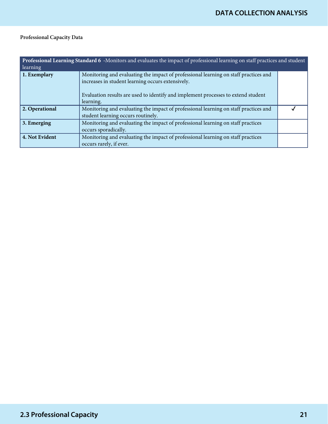| Professional Learning Standard 6 -Monitors and evaluates the impact of professional learning on staff practices and student<br>learning |                                                                                                                                                                                                                                             |  |
|-----------------------------------------------------------------------------------------------------------------------------------------|---------------------------------------------------------------------------------------------------------------------------------------------------------------------------------------------------------------------------------------------|--|
| 1. Exemplary                                                                                                                            | Monitoring and evaluating the impact of professional learning on staff practices and<br>increases in student learning occurs extensively.<br>Evaluation results are used to identify and implement processes to extend student<br>learning. |  |
| 2. Operational                                                                                                                          | Monitoring and evaluating the impact of professional learning on staff practices and<br>student learning occurs routinely.                                                                                                                  |  |
| 3. Emerging                                                                                                                             | Monitoring and evaluating the impact of professional learning on staff practices<br>occurs sporadically.                                                                                                                                    |  |
| 4. Not Evident                                                                                                                          | Monitoring and evaluating the impact of professional learning on staff practices<br>occurs rarely, if ever.                                                                                                                                 |  |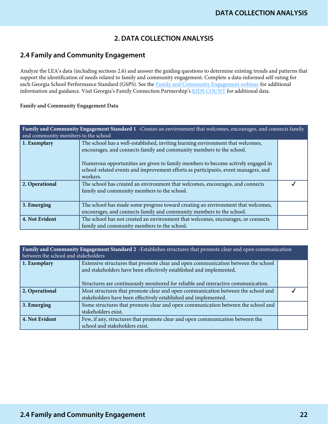# **2. DATA COLLECTION ANALYSIS**

## **2.4 Family and Community Engagement**

Analyze the LEA's data (including sections 2.6) and answer the guiding questions to determine existing trends and patterns that support the identification of needs related to family and community engagement. Complete a data-informed self-rating for each Georgia School Performance Standard (GSPS). See the [Family and Community Engagement webinar](https://www.gadoe.org/School-Improvement/School-Improvement-Services/Pages/Georgia%E2%80%99s-Systems-of-Continuous-Improvement.aspx) for additional information and guidance. Visit Georgia's Family Connection Partnership's [KIDS COUNT](http://gafcp.org/kids-count/) for additional data.

#### Family and Community Engagement Data

| Family and Community Engagement Standard 1 - Creates an environment that welcomes, encourages, and connects family<br>and community members to the school |                                                                                                                                                                                                                                                                                                                                               |  |
|-----------------------------------------------------------------------------------------------------------------------------------------------------------|-----------------------------------------------------------------------------------------------------------------------------------------------------------------------------------------------------------------------------------------------------------------------------------------------------------------------------------------------|--|
| 1. Exemplary                                                                                                                                              | The school has a well-established, inviting learning environment that welcomes,<br>encourages, and connects family and community members to the school.<br>Numerous opportunities are given to family members to become actively engaged in<br>school-related events and improvement efforts as participants, event managers, and<br>workers. |  |
| 2. Operational                                                                                                                                            | The school has created an environment that welcomes, encourages, and connects<br>family and community members to the school.                                                                                                                                                                                                                  |  |
| 3. Emerging                                                                                                                                               | The school has made some progress toward creating an environment that welcomes,<br>encourages, and connects family and community members to the school.                                                                                                                                                                                       |  |
| 4. Not Evident                                                                                                                                            | The school has not created an environment that welcomes, encourages, or connects<br>family and community members to the school.                                                                                                                                                                                                               |  |

**Family and Community Engagement Standard 2 -**Establishes structures that promote clear and open communication between the school and stakeholders **1. Exemplary** Extensive structures that promote clear and open communication between the school and stakeholders have been effectively established and implemented. Structures are continuously monitored for reliable and interactive communication. **2. Operational** Most structures that promote clear and open communication between the school and stakeholders have been effectively established and implemented.  $\overline{\mathcal{J}}$ **3. Emerging** Some structures that promote clear and open communication between the school and stakeholders exist.

|                | stakeholders exist.                                                                                             |  |
|----------------|-----------------------------------------------------------------------------------------------------------------|--|
| 4. Not Evident | Few, if any, structures that promote clear and open communication between the<br>school and stakeholders exist. |  |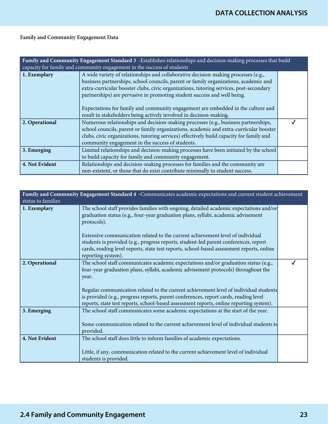## Family and Community Engagement Data

| Family and Community Engagement Standard 3 -Establishes relationships and decision-making processes that build<br>capacity for family and community engagement in the success of students |                                                                                                                                                                                                                                                                                                                                                                                                                                                                                                            |  |
|-------------------------------------------------------------------------------------------------------------------------------------------------------------------------------------------|------------------------------------------------------------------------------------------------------------------------------------------------------------------------------------------------------------------------------------------------------------------------------------------------------------------------------------------------------------------------------------------------------------------------------------------------------------------------------------------------------------|--|
| 1. Exemplary                                                                                                                                                                              | A wide variety of relationships and collaborative decision-making processes (e.g.,<br>business partnerships, school councils, parent or family organizations, academic and<br>extra-curricular booster clubs, civic organizations, tutoring services, post-secondary<br>partnerships) are pervasive in promoting student success and well being.<br>Expectations for family and community engagement are embedded in the culture and<br>result in stakeholders being actively involved in decision-making. |  |
| 2. Operational                                                                                                                                                                            | Numerous relationships and decision-making processes (e.g., business partnerships,<br>school councils, parent or family organizations, academic and extra-curricular booster<br>clubs, civic organizations, tutoring services) effectively build capacity for family and<br>community engagement in the success of students.                                                                                                                                                                               |  |
| 3. Emerging                                                                                                                                                                               | Limited relationships and decision-making processes have been initiated by the school<br>to build capacity for family and community engagement.                                                                                                                                                                                                                                                                                                                                                            |  |
| 4. Not Evident                                                                                                                                                                            | Relationships and decision-making processes for families and the community are<br>non-existent, or those that do exist contribute minimally to student success.                                                                                                                                                                                                                                                                                                                                            |  |

| Family and Community Engagement Standard 4 - Communicates academic expectations and current student achievement<br>status to families |                                                                                                                                                                                                                                                                                                                                                                     |  |
|---------------------------------------------------------------------------------------------------------------------------------------|---------------------------------------------------------------------------------------------------------------------------------------------------------------------------------------------------------------------------------------------------------------------------------------------------------------------------------------------------------------------|--|
| 1. Exemplary                                                                                                                          | The school staff provides families with ongoing, detailed academic expectations and/or<br>graduation status (e.g., four-year graduation plans, syllabi, academic advisement<br>protocols).                                                                                                                                                                          |  |
|                                                                                                                                       | Extensive communication related to the current achievement level of individual<br>students is provided (e.g., progress reports, student-led parent conferences, report<br>cards, reading level reports, state test reports, school-based assessment reports, online<br>reporting system).                                                                           |  |
| 2. Operational                                                                                                                        | The school staff communicates academic expectations and/or graduation status (e.g.,<br>four-year graduation plans, syllabi, academic advisement protocols) throughout the<br>year.<br>Regular communication related to the current achievement level of individual students<br>is provided (e.g., progress reports, parent conferences, report cards, reading level |  |
|                                                                                                                                       | reports, state test reports, school-based assessment reports, online reporting system).                                                                                                                                                                                                                                                                             |  |
| 3. Emerging                                                                                                                           | The school staff communicates some academic expectations at the start of the year.<br>Some communication related to the current achievement level of individual students is<br>provided.                                                                                                                                                                            |  |
| 4. Not Evident                                                                                                                        | The school staff does little to inform families of academic expectations.                                                                                                                                                                                                                                                                                           |  |
|                                                                                                                                       | Little, if any, communication related to the current achievement level of individual<br>students is provided.                                                                                                                                                                                                                                                       |  |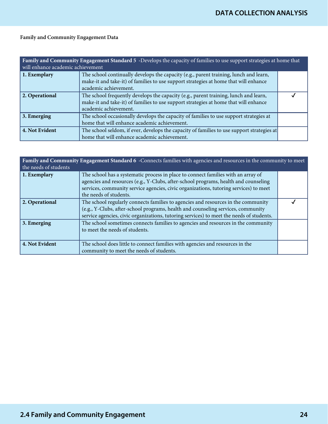## Family and Community Engagement Data

| Family and Community Engagement Standard 5 -Develops the capacity of families to use support strategies at home that<br>will enhance academic achievement |                                                                                                                                                                                                        |  |
|-----------------------------------------------------------------------------------------------------------------------------------------------------------|--------------------------------------------------------------------------------------------------------------------------------------------------------------------------------------------------------|--|
| 1. Exemplary                                                                                                                                              | The school continually develops the capacity (e.g., parent training, lunch and learn,<br>make-it and take-it) of families to use support strategies at home that will enhance<br>academic achievement. |  |
| 2. Operational                                                                                                                                            | The school frequently develops the capacity (e.g., parent training, lunch and learn,<br>make-it and take-it) of families to use support strategies at home that will enhance<br>academic achievement.  |  |
| 3. Emerging                                                                                                                                               | The school occasionally develops the capacity of families to use support strategies at<br>home that will enhance academic achievement.                                                                 |  |
| 4. Not Evident                                                                                                                                            | The school seldom, if ever, develops the capacity of families to use support strategies at<br>home that will enhance academic achievement.                                                             |  |

| Family and Community Engagement Standard 6 -Connects families with agencies and resources in the community to meet<br>the needs of students |                                                                                                                                                                                                                                                                                             |  |
|---------------------------------------------------------------------------------------------------------------------------------------------|---------------------------------------------------------------------------------------------------------------------------------------------------------------------------------------------------------------------------------------------------------------------------------------------|--|
| $\vert$ 1. Exemplary                                                                                                                        | The school has a systematic process in place to connect families with an array of<br>agencies and resources (e.g., Y-Clubs, after-school programs, health and counseling<br>services, community service agencies, civic organizations, tutoring services) to meet<br>the needs of students. |  |
| 2. Operational                                                                                                                              | The school regularly connects families to agencies and resources in the community<br>(e.g., Y-Clubs, after-school programs, health and counseling services, community<br>service agencies, civic organizations, tutoring services) to meet the needs of students.                           |  |
| $\vert$ 3. Emerging                                                                                                                         | The school sometimes connects families to agencies and resources in the community<br>to meet the needs of students.                                                                                                                                                                         |  |
| 4. Not Evident                                                                                                                              | The school does little to connect families with agencies and resources in the<br>community to meet the needs of students.                                                                                                                                                                   |  |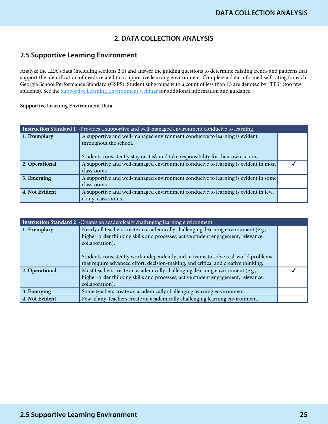# **2. DATA COLLECTION ANALYSIS**

## **2.5 Supportive Learning Environment**

Analyze the LEA's data (including sections 2.6) and answer the guiding questions to determine existing trends and patterns that support the identification of needs related to a supportive learning environment. Complete a data-informed self-rating for each Georgia School Performance Standard (GSPS). Student subgroups with a count of less than 15 are denoted by "TFS" (too few students). See the **Supportive Learning Environment webinar** for additional information and guidance.

| Instruction Standard 1 -Provides a supportive and well-managed environment conducive to learning |                                                                                    |  |
|--------------------------------------------------------------------------------------------------|------------------------------------------------------------------------------------|--|
| 1. Exemplary                                                                                     | A supportive and well-managed environment conducive to learning is evident         |  |
|                                                                                                  | throughout the school.                                                             |  |
|                                                                                                  | Students consistently stay on-task and take responsibility for their own actions.  |  |
| 2. Operational                                                                                   | A supportive and well-managed environment conducive to learning is evident in most |  |
|                                                                                                  | classrooms.                                                                        |  |
| 3. Emerging                                                                                      | A supportive and well-managed environment conducive to learning is evident in some |  |
|                                                                                                  | classrooms.                                                                        |  |
| 4. Not Evident                                                                                   | A supportive and well-managed environment conducive to learning is evident in few, |  |
|                                                                                                  | if any, classrooms.                                                                |  |

| Instruction Standard 2 -Creates an academically challenging learning environment |                                                                                                                                                                                                                                                                                                                                                                         |  |
|----------------------------------------------------------------------------------|-------------------------------------------------------------------------------------------------------------------------------------------------------------------------------------------------------------------------------------------------------------------------------------------------------------------------------------------------------------------------|--|
| 1. Exemplary                                                                     | Nearly all teachers create an academically challenging, learning environment (e.g.,<br>higher-order thinking skills and processes, active student engagement, relevance,<br>collaboration).<br>Students consistently work independently and in teams to solve real-world problems<br>that require advanced effort, decision-making, and critical and creative thinking. |  |
| 2. Operational                                                                   | Most teachers create an academically challenging, learning environment (e.g.,<br>higher-order thinking skills and processes, active student engagement, relevance,<br>collaboration).                                                                                                                                                                                   |  |
| 3. Emerging                                                                      | Some teachers create an academically challenging learning environment.                                                                                                                                                                                                                                                                                                  |  |
| 4. Not Evident                                                                   | Few, if any, teachers create an academically challenging learning environment.                                                                                                                                                                                                                                                                                          |  |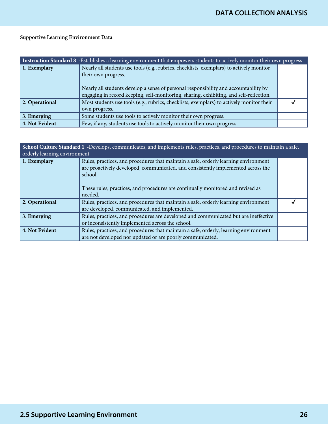| Instruction Standard 8 -Establishes a learning environment that empowers students to actively monitor their own progress |                                                                                                                                                                                                                                                                                                   |  |
|--------------------------------------------------------------------------------------------------------------------------|---------------------------------------------------------------------------------------------------------------------------------------------------------------------------------------------------------------------------------------------------------------------------------------------------|--|
| 1. Exemplary                                                                                                             | Nearly all students use tools (e.g., rubrics, checklists, exemplars) to actively monitor<br>their own progress.<br>Nearly all students develop a sense of personal responsibility and accountability by<br>engaging in record keeping, self-monitoring, sharing, exhibiting, and self-reflection. |  |
| 2. Operational                                                                                                           | Most students use tools (e.g., rubrics, checklists, exemplars) to actively monitor their<br>own progress.                                                                                                                                                                                         |  |
| $\vert$ 3. Emerging                                                                                                      | Some students use tools to actively monitor their own progress.                                                                                                                                                                                                                                   |  |
| 4. Not Evident                                                                                                           | Few, if any, students use tools to actively monitor their own progress.                                                                                                                                                                                                                           |  |

| School Culture Standard 1 -Develops, communicates, and implements rules, practices, and procedures to maintain a safe,<br>orderly learning environment |                                                                                                                                                                                                                                                                                  |  |
|--------------------------------------------------------------------------------------------------------------------------------------------------------|----------------------------------------------------------------------------------------------------------------------------------------------------------------------------------------------------------------------------------------------------------------------------------|--|
| 1. Exemplary                                                                                                                                           | Rules, practices, and procedures that maintain a safe, orderly learning environment<br>are proactively developed, communicated, and consistently implemented across the<br>school.<br>These rules, practices, and procedures are continually monitored and revised as<br>needed. |  |
| 2. Operational                                                                                                                                         | Rules, practices, and procedures that maintain a safe, orderly learning environment<br>are developed, communicated, and implemented.                                                                                                                                             |  |
| $\vert$ 3. Emerging                                                                                                                                    | Rules, practices, and procedures are developed and communicated but are ineffective<br>or inconsistently implemented across the school.                                                                                                                                          |  |
| 4. Not Evident                                                                                                                                         | Rules, practices, and procedures that maintain a safe, orderly, learning environment<br>are not developed nor updated or are poorly communicated.                                                                                                                                |  |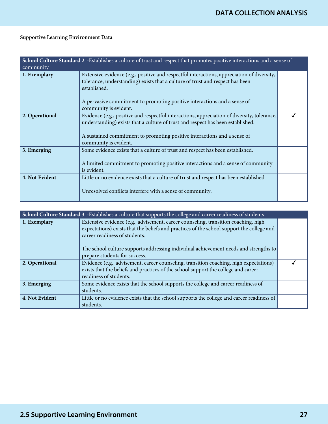| School Culture Standard 2 -Establishes a culture of trust and respect that promotes positive interactions and a sense of<br>community |                                                                                                                                                                                                                                                                                                  |  |
|---------------------------------------------------------------------------------------------------------------------------------------|--------------------------------------------------------------------------------------------------------------------------------------------------------------------------------------------------------------------------------------------------------------------------------------------------|--|
| 1. Exemplary                                                                                                                          | Extensive evidence (e.g., positive and respectful interactions, appreciation of diversity,<br>tolerance, understanding) exists that a culture of trust and respect has been<br>established.<br>A pervasive commitment to promoting positive interactions and a sense of<br>community is evident. |  |
| 2. Operational                                                                                                                        | Evidence (e.g., positive and respectful interactions, appreciation of diversity, tolerance,<br>understanding) exists that a culture of trust and respect has been established.<br>A sustained commitment to promoting positive interactions and a sense of<br>community is evident.              |  |
| 3. Emerging                                                                                                                           | Some evidence exists that a culture of trust and respect has been established.<br>A limited commitment to promoting positive interactions and a sense of community<br>is evident.                                                                                                                |  |
| 4. Not Evident                                                                                                                        | Little or no evidence exists that a culture of trust and respect has been established.<br>Unresolved conflicts interfere with a sense of community.                                                                                                                                              |  |

| School Culture Standard 3 -Establishes a culture that supports the college and career readiness of students |                                                                                                                                                                                                                  |  |
|-------------------------------------------------------------------------------------------------------------|------------------------------------------------------------------------------------------------------------------------------------------------------------------------------------------------------------------|--|
| 1. Exemplary                                                                                                | Extensive evidence (e.g., advisement, career counseling, transition coaching, high<br>expectations) exists that the beliefs and practices of the school support the college and<br>career readiness of students. |  |
|                                                                                                             | The school culture supports addressing individual achievement needs and strengths to<br>prepare students for success.                                                                                            |  |
| 2. Operational                                                                                              | Evidence (e.g., advisement, career counseling, transition coaching, high expectations)<br>exists that the beliefs and practices of the school support the college and career                                     |  |
|                                                                                                             | readiness of students.                                                                                                                                                                                           |  |
| 3. Emerging                                                                                                 | Some evidence exists that the school supports the college and career readiness of<br>students.                                                                                                                   |  |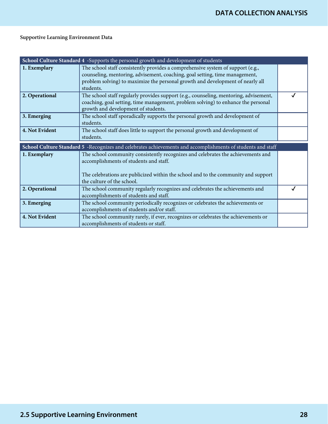|                | School Culture Standard 4 -Supports the personal growth and development of students                                                                                                                                                                           |  |
|----------------|---------------------------------------------------------------------------------------------------------------------------------------------------------------------------------------------------------------------------------------------------------------|--|
| 1. Exemplary   | The school staff consistently provides a comprehensive system of support (e.g.,<br>counseling, mentoring, advisement, coaching, goal setting, time management,<br>problem solving) to maximize the personal growth and development of nearly all<br>students. |  |
| 2. Operational | The school staff regularly provides support (e.g., counseling, mentoring, advisement,<br>coaching, goal setting, time management, problem solving) to enhance the personal<br>growth and development of students.                                             |  |
| 3. Emerging    | The school staff sporadically supports the personal growth and development of<br>students.                                                                                                                                                                    |  |
| 4. Not Evident | The school staff does little to support the personal growth and development of<br>students.                                                                                                                                                                   |  |
|                |                                                                                                                                                                                                                                                               |  |
|                | School Culture Standard 5 -Recognizes and celebrates achievements and accomplishments of students and staff                                                                                                                                                   |  |
| 1. Exemplary   | The school community consistently recognizes and celebrates the achievements and<br>accomplishments of students and staff.                                                                                                                                    |  |
|                | The celebrations are publicized within the school and to the community and support<br>the culture of the school.                                                                                                                                              |  |
| 2. Operational | The school community regularly recognizes and celebrates the achievements and<br>accomplishments of students and staff.                                                                                                                                       |  |
| 3. Emerging    | The school community periodically recognizes or celebrates the achievements or<br>accomplishments of students and/or staff.                                                                                                                                   |  |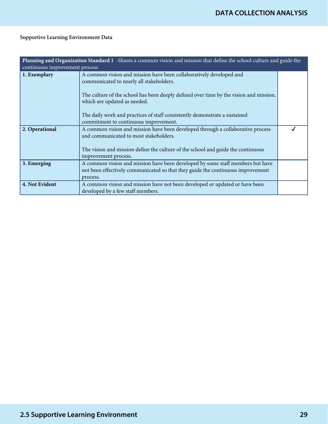| Planning and Organization Standard 1 -Shares a common vision and mission that define the school culture and guide the<br>continuous improvement process |                                                                                                                                                                               |  |
|---------------------------------------------------------------------------------------------------------------------------------------------------------|-------------------------------------------------------------------------------------------------------------------------------------------------------------------------------|--|
| 1. Exemplary                                                                                                                                            | A common vision and mission have been collaboratively developed and<br>communicated to nearly all stakeholders.                                                               |  |
|                                                                                                                                                         | The culture of the school has been deeply defined over time by the vision and mission,<br>which are updated as needed.                                                        |  |
|                                                                                                                                                         | The daily work and practices of staff consistently demonstrate a sustained<br>commitment to continuous improvement.                                                           |  |
| 2. Operational                                                                                                                                          | A common vision and mission have been developed through a collaborative process<br>and communicated to most stakeholders.                                                     |  |
|                                                                                                                                                         | The vision and mission define the culture of the school and guide the continuous<br>improvement process.                                                                      |  |
| 3. Emerging                                                                                                                                             | A common vision and mission have been developed by some staff members but have<br>not been effectively communicated so that they guide the continuous improvement<br>process. |  |
| 4. Not Evident                                                                                                                                          | A common vision and mission have not been developed or updated or have been<br>developed by a few staff members.                                                              |  |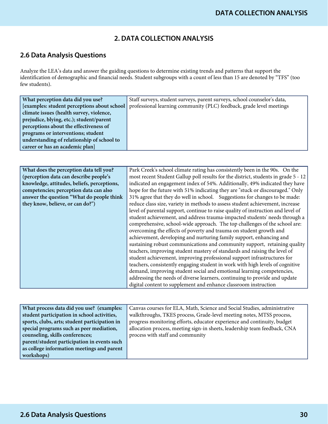# **2. DATA COLLECTION ANALYSIS**

# **2.6 Data Analysis Questions**

Analyze the LEA's data and answer the guiding questions to determine existing trends and patterns that support the identification of demographic and financial needs. Student subgroups with a count of less than 15 are denoted by "TFS" (too few students).

| What perception data did you use?            | Staff surveys, student surveys, parent surveys, school counselor's data, |
|----------------------------------------------|--------------------------------------------------------------------------|
| [examples: student perceptions about school] | professional learning community (PLC) feedback, grade level meetings     |
| climate issues (health survey, violence,     |                                                                          |
| prejudice, blying, etc.); student/parent     |                                                                          |
| perceptions about the effectiveness of       |                                                                          |
| programs or interventions; student           |                                                                          |
| understanding of relationship of school to   |                                                                          |
| career or has an academic plan]              |                                                                          |
|                                              |                                                                          |

| What does the perception data tell you?     | Park Creek's school climate rating has consistently been in the 90s. On the        |
|---------------------------------------------|------------------------------------------------------------------------------------|
| (perception data can describe people's      | most recent Student Gallup poll results for the district, students in grade 5 - 12 |
| knowledge, attitudes, beliefs, perceptions, | indicated an engagement index of 54%. Additionally, 49% indicated they have        |
| competencies; perception data can also      | hope for the future with 51% indicating they are "stuck or discouraged." Only      |
| answer the question "What do people think"  | 31% agree that they do well in school. Suggestions for changes to be made:         |
| they know, believe, or can do?")            | reduce class size, variety in methods to assess student achievement, increase      |
|                                             | level of parental support, continue to raise quality of instruction and level of   |
|                                             | student achievement, and address trauma-impacted students' needs through a         |
|                                             | comprehensive, school-wide approach. The top challenges of the school are:         |
|                                             | overcoming the effects of poverty and trauma on student growth and                 |
|                                             | achievement, developing and nurturing family support, enhancing and                |
|                                             | sustaining robust communications and community support, retaining quality          |
|                                             | teachers, improving student mastery of standards and raising the level of          |
|                                             | student achievement, improving professional support infrastructures for            |
|                                             | teachers, consistently engaging student in work with high levels of cognitive      |
|                                             | demand, improving student social and emotional learning competencies,              |
|                                             | addressing the needs of diverse learners, continuing to provide and update         |
|                                             | digital content to supplement and enhance classroom instruction                    |

| What process data did you use? (examples:     | Canvas courses for ELA, Math, Science and Social Studies, administrative  |
|-----------------------------------------------|---------------------------------------------------------------------------|
| student participation in school activities,   | walkthroughs, TKES process, Grade-level meeting notes, MTSS process,      |
| sports, clubs, arts; student participation in | progress monitoring efforts, educator experience and continuity, budget   |
| special programs such as peer mediation,      | allocation process, meeting sign-in sheets, leadership team feedback, CNA |
| counseling, skills conferences;               | process with staff and community                                          |
| parent/student participation in events such   |                                                                           |
| as college information meetings and parent    |                                                                           |
| workshops)                                    |                                                                           |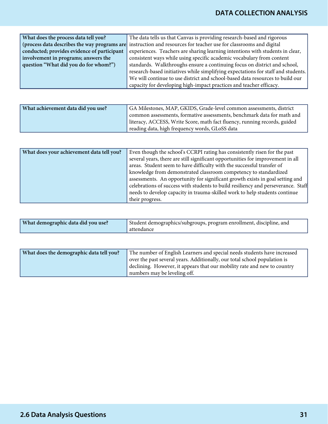| What does the process data tell you?        | The data tells us that Canvas is providing research-based and rigorous                                            |
|---------------------------------------------|-------------------------------------------------------------------------------------------------------------------|
|                                             | (process data describes the way programs are instruction and resources for teacher use for classrooms and digital |
| conducted; provides evidence of participant | experiences. Teachers are sharing learning intentions with students in clear,                                     |
| involvement in programs; answers the        | consistent ways while using specific academic vocabulary from content                                             |
| question "What did you do for whom?")       | standards. Walkthroughs ensure a continuing focus on district and school,                                         |
|                                             | research-based initiatives while simplifying expectations for staff and students.                                 |
|                                             | We will continue to use district and school-based data resources to build our                                     |
|                                             | capacity for developing high-impact practices and teacher efficacy.                                               |

| What achievement data did you use? | GA Milestones, MAP, GKIDS, Grade-level common assessments, district       |
|------------------------------------|---------------------------------------------------------------------------|
|                                    | common assessments, formative assessments, benchmark data for math and    |
|                                    | literacy, ACCESS, Write Score, math fact fluency, running records, guided |
|                                    | reading data, high frequency words, GLoSS data                            |

| What does your achievement data tell you? | Even though the school's CCRPI rating has consistently risen for the past         |
|-------------------------------------------|-----------------------------------------------------------------------------------|
|                                           | several years, there are still significant opportunities for improvement in all   |
|                                           | areas. Student seem to have difficulty with the successful transfer of            |
|                                           | knowledge from demonstrated classroom competency to standardized                  |
|                                           | assessments. An opportunity for significant growth exists in goal setting and     |
|                                           | celebrations of success with students to build resiliency and perseverance. Staff |
|                                           | needs to develop capacity in trauma-skilled work to help students continue        |
|                                           | their progress.                                                                   |

| What demographic data did you use? | Student demographics/subgroups, program enrollment, discipline, and |
|------------------------------------|---------------------------------------------------------------------|
|                                    | attendance                                                          |

| What does the demographic data tell you? | The number of English Learners and special needs students have increased  |
|------------------------------------------|---------------------------------------------------------------------------|
|                                          | over the past several years. Additionally, our total school population is |
|                                          | declining. However, it appears that our mobility rate and new to country  |
|                                          | numbers may be leveling off.                                              |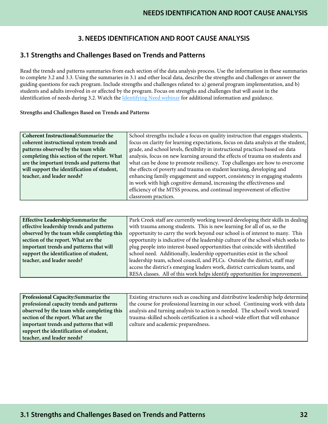# **3. NEEDS IDENTIFICATION AND ROOT CAUSE ANALYSIS**

## **3.1 Strengths and Challenges Based on Trends and Patterns**

Read the trends and patterns summaries from each section of the data analysis process. Use the information in these summaries to complete 3.2 and 3.3. Using the summaries in 3.1 and other local data, describe the strengths and challenges or answer the guiding questions for each program. Include strengths and challenges related to: a) general program implementation, and b) students and adults involved in or affected by the program. Focus on strengths and challenges that will assist in the identification of needs during 3.2. Watch the [Identifying Need webinar](https://www.gadoe.org/School-Improvement/School-Improvement-Services/Pages/Georgia%E2%80%99s-Systems-of-Continuous-Improvement.aspx) for additional information and guidance.

#### Strengths and Challenges Based on Trends and Patterns

| Coherent Instructional: Summarize the       | School strengths include a focus on quality instruction that engages students,     |
|---------------------------------------------|------------------------------------------------------------------------------------|
| coherent instructional system trends and    | focus on clarity for learning expectations, focus on data analysis at the student, |
| patterns observed by the team while         | grade, and school levels, flexibility in instructional practices based on data     |
| completing this section of the report. What | analysis, focus on new learning around the effects of trauma on students and       |
| are the important trends and patterns that  | what can be done to promote resiliency. Top challenges are how to overcome         |
| will support the identification of student, | the effects of poverty and trauma on student learning, developing and              |
| teacher, and leader needs?                  | enhancing family engagement and support, consistency in engaging students          |
|                                             | in work with high cognitive demand, increasing the effectiveness and               |
|                                             | efficiency of the MTSS process, and continual improvement of effective             |
|                                             | classroom practices.                                                               |

| <b>Effective Leadership:Summarize the</b>  | Park Creek staff are currently working toward developing their skills in dealing |
|--------------------------------------------|----------------------------------------------------------------------------------|
| effective leadership trends and patterns   | with trauma among students. This is new learning for all of us, so the           |
| observed by the team while completing this | opportunity to carry the work beyond our school is of interest to many. This     |
| section of the report. What are the        | opportunity is indicative of the leadership culture of the school which seeks to |
| important trends and patterns that will    | plug people into interest-based opportunities that coincide with identified      |
| support the identification of student,     | school need. Additionally, leadership opportunities exist in the school          |
| teacher, and leader needs?                 | leadership team, school council, and PLCs. Outside the district, staff may       |
|                                            | access the district's emerging leaders work, district curriculum teams, and      |
|                                            | RESA classes. All of this work helps identify opportunities for improvement.     |

| Professional Capacity: Summarize the       | Existing structures such as coaching and distributive leadership help determine |
|--------------------------------------------|---------------------------------------------------------------------------------|
| professional capacity trends and patterns  | the course for professional learning in our school. Continuing work with data   |
| observed by the team while completing this | analysis and turning analysis to action is needed. The school's work toward     |
| section of the report. What are the        | trauma-skilled schools certification is a school-wide effort that will enhance  |
| important trends and patterns that will    | culture and academic preparedness.                                              |
| support the identification of student,     |                                                                                 |
| teacher, and leader needs?                 |                                                                                 |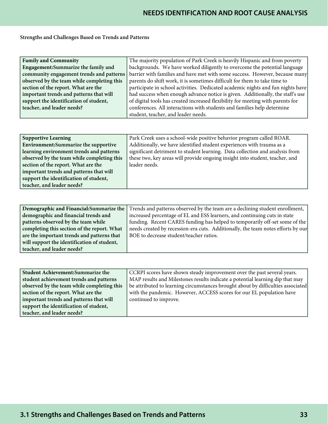#### Strengths and Challenges Based on Trends and Patterns

| <b>Family and Community</b>                | The majority population of Park Creek is heavily Hispanic and from poverty      |
|--------------------------------------------|---------------------------------------------------------------------------------|
| Engagement: Summarize the family and       | backgrounds. We have worked diligently to overcome the potential language       |
| community engagement trends and patterns   | barrier with families and have met with some success. However, because many     |
| observed by the team while completing this | parents do shift work, it is sometimes difficult for them to take time to       |
| section of the report. What are the        | participate in school activities. Dedicated academic nights and fun nights have |
| important trends and patterns that will    | had success when enough advance notice is given. Additionally, the staff's use  |
| support the identification of student,     | of digital tools has created increased flexibility for meeting with parents for |
| teacher, and leader needs?                 | conferences. All interactions with students and families help determine         |
|                                            | student, teacher, and leader needs.                                             |

| <b>Supportive Learning</b>                   | Park Creek uses a school-wide positive behavior program called ROAR.         |
|----------------------------------------------|------------------------------------------------------------------------------|
| <b>Environment: Summarize the supportive</b> | Additionally, we have identified student experiences with trauma as a        |
| learning environment trends and patterns     | significant detriment to student learning. Data collection and analysis from |
| observed by the team while completing this   | these two, key areas will provide ongoing insight into student, teacher, and |
| section of the report. What are the          | leader needs.                                                                |
| important trends and patterns that will      |                                                                              |
| support the identification of student,       |                                                                              |
| teacher, and leader needs?                   |                                                                              |

| Demographic and Financial: Summarize the    | Trends and patterns observed by the team are a declining student enrollment,     |
|---------------------------------------------|----------------------------------------------------------------------------------|
| demographic and financial trends and        | increased percentage of EL and ESS learners, and continuing cuts in state        |
| patterns observed by the team while         | funding. Recent CARES funding has helped to temporarily off-set some of the      |
| completing this section of the report. What | needs created by recession-era cuts. Additionally, the team notes efforts by our |
| are the important trends and patterns that  | BOE to decrease student/teacher ratios.                                          |
| will support the identification of student, |                                                                                  |
| teacher, and leader needs?                  |                                                                                  |

| <b>Student Achievement: Summarize the</b>  | CCRPI scores have shown steady improvement over the past several years.          |
|--------------------------------------------|----------------------------------------------------------------------------------|
| student achievement trends and patterns    | MAP results and Milestones results indicate a potential learning dip that may    |
| observed by the team while completing this | be attributed to learning circumstances brought about by difficulties associated |
| section of the report. What are the        | with the pandemic. However, ACCESS scores for our EL population have             |
| important trends and patterns that will    | continued to improve.                                                            |
| support the identification of student,     |                                                                                  |
| teacher, and leader needs?                 |                                                                                  |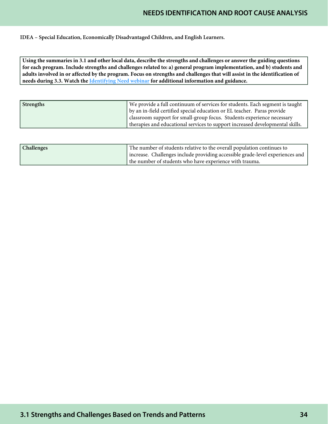# **NEEDS IDENTIFICATION AND ROOT CAUSE ANALYSIS**

IDEA – Special Education, Economically Disadvantaged Children, and English Learners.

**Using the summaries in 3.1 and other local data, describe the strengths and challenges or answer the guiding questions for each program. Include strengths and challenges related to: a) general program implementation, and b) students and adults involved in or affected by the program. Focus on strengths and challenges that will assist in the identification of needs during 3.3. Watch the [Identifying Need webinar](https://www.gadoe.org/School-Improvement/School-Improvement-Services/Pages/Georgia%E2%80%99s-Systems-of-Continuous-Improvement.aspx) for additional information and guidance.**

| <b>Strengths</b> | We provide a full continuum of services for students. Each segment is taught  |
|------------------|-------------------------------------------------------------------------------|
|                  | by an in-field certified special education or EL teacher. Paras provide       |
|                  | classroom support for small-group focus. Students experience necessary        |
|                  | therapies and educational services to support increased developmental skills. |

| <b>Challenges</b> | The number of students relative to the overall population continues to        |
|-------------------|-------------------------------------------------------------------------------|
|                   | increase. Challenges include providing accessible grade-level experiences and |
|                   | the number of students who have experience with trauma.                       |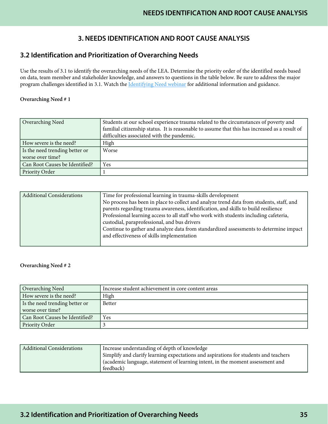# **3. NEEDS IDENTIFICATION AND ROOT CAUSE ANALYSIS**

## **3.2 Identification and Prioritization of Overarching Needs**

Use the results of 3.1 to identify the overarching needs of the LEA. Determine the priority order of the identified needs based on data, team member and stakeholder knowledge, and answers to questions in the table below. Be sure to address the major program challenges identified in 3.1. Watch the [Identifying Need webinar](https://www.gadoe.org/School-Improvement/School-Improvement-Services/Pages/Georgia%E2%80%99s-Systems-of-Continuous-Improvement.aspx) for additional information and guidance.

#### Overarching Need # 1

| Overarching Need               | Students at our school experience trauma related to the circumstances of poverty and<br>familial citizenship status. It is reasonable to assume that this has increased as a result of<br>difficulties associated with the pandemic. |
|--------------------------------|--------------------------------------------------------------------------------------------------------------------------------------------------------------------------------------------------------------------------------------|
| How severe is the need?        | High                                                                                                                                                                                                                                 |
| Is the need trending better or | Worse                                                                                                                                                                                                                                |
| worse over time?               |                                                                                                                                                                                                                                      |
| Can Root Causes be Identified? | Yes                                                                                                                                                                                                                                  |
| Priority Order                 |                                                                                                                                                                                                                                      |

| <b>Additional Considerations</b> | Time for professional learning in trauma-skills development                              |
|----------------------------------|------------------------------------------------------------------------------------------|
|                                  | No process has been in place to collect and analyze trend data from students, staff, and |
|                                  | parents regarding trauma awareness, identification, and skills to build resilience       |
|                                  | Professional learning access to all staff who work with students including cafeteria,    |
|                                  | custodial, paraprofessional, and bus drivers                                             |
|                                  | Continue to gather and analyze data from standardized assessments to determine impact    |
|                                  | and effectiveness of skills implementation                                               |
|                                  |                                                                                          |

#### Overarching Need # 2

| Overarching Need               | Increase student achievement in core content areas |
|--------------------------------|----------------------------------------------------|
| How severe is the need?        | High                                               |
| Is the need trending better or | <b>Better</b>                                      |
| worse over time?               |                                                    |
| Can Root Causes be Identified? | <b>Yes</b>                                         |
| Priority Order                 |                                                    |

| Additional Considerations | Increase understanding of depth of knowledge                                         |
|---------------------------|--------------------------------------------------------------------------------------|
|                           | Simplify and clarify learning expectations and aspirations for students and teachers |
|                           | (academic language, statement of learning intent, in the moment assessment and       |
|                           | feedback)                                                                            |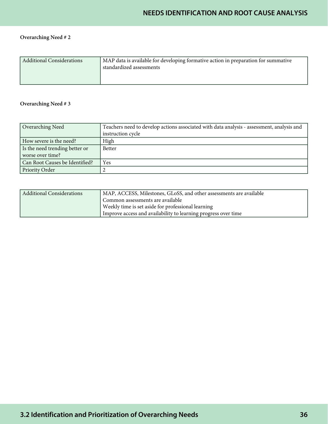# **NEEDS IDENTIFICATION AND ROOT CAUSE ANALYSIS**

## Overarching Need # 2

| MAP data is available for developing formative action in preparation for summative<br><b>Additional Considerations</b><br>standardized assessments |  |
|----------------------------------------------------------------------------------------------------------------------------------------------------|--|
|----------------------------------------------------------------------------------------------------------------------------------------------------|--|

#### Overarching Need # 3

| Overarching Need               | Teachers need to develop actions associated with data analysis - assessment, analysis and |
|--------------------------------|-------------------------------------------------------------------------------------------|
|                                | instruction cycle                                                                         |
| How severe is the need?        | High                                                                                      |
| Is the need trending better or | <b>Better</b>                                                                             |
| worse over time?               |                                                                                           |
| Can Root Causes be Identified? | Yes                                                                                       |
| Priority Order                 |                                                                                           |

| Additional Considerations | MAP, ACCESS, Milestones, GLoSS, and other assessments are available |
|---------------------------|---------------------------------------------------------------------|
|                           | Common assessments are available                                    |
|                           | Weekly time is set aside for professional learning                  |
|                           | Improve access and availability to learning progress over time      |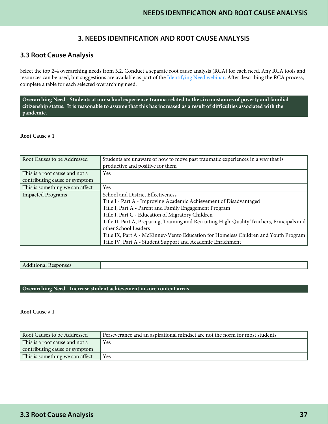## **3. NEEDS IDENTIFICATION AND ROOT CAUSE ANALYSIS**

## **3.3 Root Cause Analysis**

Select the top 2-4 overarching needs from 3.2. Conduct a separate root cause analysis (RCA) for each need. Any RCA tools and resources can be used, but suggestions are available as part of the *Identifying Need webinar*. After describing the RCA process, complete a table for each selected overarching need.

**Overarching Need - Students at our school experience trauma related to the circumstances of poverty and familial citizenship status. It is reasonable to assume that this has increased as a result of difficulties associated with the pandemic.**

#### Root Cause # 1

| Root Causes to be Addressed     | Students are unaware of how to move past traumatic experiences in a way that is<br>productive and positive for them |
|---------------------------------|---------------------------------------------------------------------------------------------------------------------|
| This is a root cause and not a  | Yes                                                                                                                 |
| contributing cause or symptom   |                                                                                                                     |
| This is something we can affect | Yes                                                                                                                 |
| <b>Impacted Programs</b>        | School and District Effectiveness                                                                                   |
|                                 | Title I - Part A - Improving Academic Achievement of Disadvantaged                                                  |
|                                 | Title I, Part A - Parent and Family Engagement Program                                                              |
|                                 | Title I, Part C - Education of Migratory Children                                                                   |
|                                 | Title II, Part A, Preparing, Training and Recruiting High-Quality Teachers, Principals and                          |
|                                 | other School Leaders                                                                                                |
|                                 | Title IX, Part A - McKinney-Vento Education for Homeless Children and Youth Program                                 |
|                                 | Title IV, Part A - Student Support and Academic Enrichment                                                          |

#### Additional Responses

#### **Overarching Need - Increase student achievement in core content areas**

Root Cause # 1

| Root Causes to be Addressed     | Perseverance and an aspirational mindset are not the norm for most students |
|---------------------------------|-----------------------------------------------------------------------------|
| This is a root cause and not a  | Yes                                                                         |
| contributing cause or symptom   |                                                                             |
| This is something we can affect | Yes                                                                         |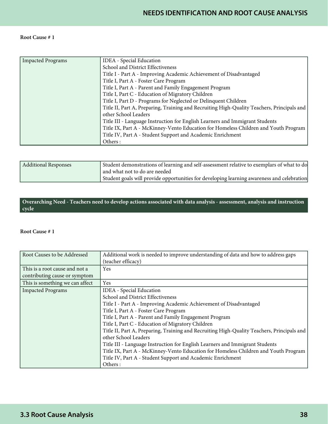#### Root Cause # 1

| <b>Impacted Programs</b> | <b>IDEA</b> - Special Education                                                            |
|--------------------------|--------------------------------------------------------------------------------------------|
|                          | School and District Effectiveness                                                          |
|                          | Title I - Part A - Improving Academic Achievement of Disadvantaged                         |
|                          | Title I, Part A - Foster Care Program                                                      |
|                          | Title I, Part A - Parent and Family Engagement Program                                     |
|                          | Title I, Part C - Education of Migratory Children                                          |
|                          | Title I, Part D - Programs for Neglected or Delinquent Children                            |
|                          | Title II, Part A, Preparing, Training and Recruiting High-Quality Teachers, Principals and |
|                          | other School Leaders                                                                       |
|                          | Title III - Language Instruction for English Learners and Immigrant Students               |
|                          | Title IX, Part A - McKinney-Vento Education for Homeless Children and Youth Program        |
|                          | Title IV, Part A - Student Support and Academic Enrichment                                 |
|                          | Others:                                                                                    |

| <b>Additional Responses</b> | Student demonstrations of learning and self-assessment relative to exemplars of what to do |
|-----------------------------|--------------------------------------------------------------------------------------------|
|                             | and what not to do are needed                                                              |
|                             | Student goals will provide opportunities for developing learning awareness and celebration |

**Overarching Need - Teachers need to develop actions associated with data analysis - assessment, analysis and instruction cycle**

#### Root Cause # 1

| Root Causes to be Addressed     | Additional work is needed to improve understanding of data and how to address gaps         |
|---------------------------------|--------------------------------------------------------------------------------------------|
|                                 | (teacher efficacy)                                                                         |
| This is a root cause and not a  | Yes                                                                                        |
| contributing cause or symptom   |                                                                                            |
| This is something we can affect | Yes                                                                                        |
| <b>Impacted Programs</b>        | <b>IDEA</b> - Special Education                                                            |
|                                 | School and District Effectiveness                                                          |
|                                 | Title I - Part A - Improving Academic Achievement of Disadvantaged                         |
|                                 | Title I, Part A - Foster Care Program                                                      |
|                                 | Title I, Part A - Parent and Family Engagement Program                                     |
|                                 | Title I, Part C - Education of Migratory Children                                          |
|                                 | Title II, Part A, Preparing, Training and Recruiting High-Quality Teachers, Principals and |
|                                 | other School Leaders                                                                       |
|                                 | Title III - Language Instruction for English Learners and Immigrant Students               |
|                                 | Title IX, Part A - McKinney-Vento Education for Homeless Children and Youth Program        |
|                                 | Title IV, Part A - Student Support and Academic Enrichment                                 |
|                                 | Others:                                                                                    |